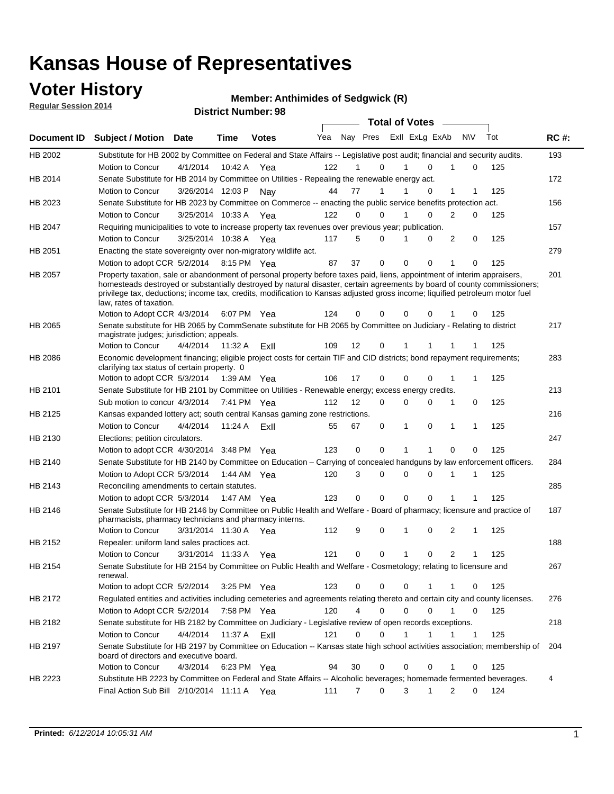### **Voter History**

**Regular Session 2014**

**Member: Anthimides of Sedgwick (R)** 

| דושב ווטופסטט ומוסף וח |                                                                                                                                                                                                                                                                                                                                                                                                                                                  |                       |         | <b>District Number: 98</b> |     |                |             |                             |   |             |     |             |
|------------------------|--------------------------------------------------------------------------------------------------------------------------------------------------------------------------------------------------------------------------------------------------------------------------------------------------------------------------------------------------------------------------------------------------------------------------------------------------|-----------------------|---------|----------------------------|-----|----------------|-------------|-----------------------------|---|-------------|-----|-------------|
|                        |                                                                                                                                                                                                                                                                                                                                                                                                                                                  |                       |         |                            |     |                |             | Total of Votes –            |   |             |     |             |
| Document ID            | Subject / Motion Date                                                                                                                                                                                                                                                                                                                                                                                                                            |                       | Time    | <b>Votes</b>               | Yea | Nay Pres       |             | ExII ExLg ExAb              |   | <b>NV</b>   | Tot | <b>RC#:</b> |
| HB 2002                | Substitute for HB 2002 by Committee on Federal and State Affairs -- Legislative post audit; financial and security audits.                                                                                                                                                                                                                                                                                                                       |                       |         |                            |     |                |             |                             |   |             |     | 193         |
|                        | Motion to Concur                                                                                                                                                                                                                                                                                                                                                                                                                                 | 4/1/2014              | 10:42 A | Yea                        | 122 |                | $\Omega$    | 1<br>$\Omega$               | 1 | 0           | 125 |             |
| HB 2014                | Senate Substitute for HB 2014 by Committee on Utilities - Repealing the renewable energy act.                                                                                                                                                                                                                                                                                                                                                    |                       |         |                            |     |                |             |                             |   |             |     | 172         |
|                        | Motion to Concur                                                                                                                                                                                                                                                                                                                                                                                                                                 | 3/26/2014 12:03 P     |         | Nav                        | 44  | 77             |             | $\mathbf 0$<br>1            | 1 | 1           | 125 |             |
| HB 2023                | Senate Substitute for HB 2023 by Committee on Commerce -- enacting the public service benefits protection act.                                                                                                                                                                                                                                                                                                                                   |                       |         |                            |     |                |             |                             |   |             |     | 156         |
|                        | Motion to Concur                                                                                                                                                                                                                                                                                                                                                                                                                                 | 3/25/2014 10:33 A Yea |         |                            | 122 | $\Omega$       | $\Omega$    | 1<br>$\Omega$               | 2 | 0           | 125 |             |
| HB 2047                | Requiring municipalities to vote to increase property tax revenues over previous year; publication.                                                                                                                                                                                                                                                                                                                                              |                       |         |                            |     |                |             |                             |   |             |     | 157         |
|                        | <b>Motion to Concur</b>                                                                                                                                                                                                                                                                                                                                                                                                                          | 3/25/2014 10:38 A     |         | Yea                        | 117 | 5              | 0           | 1<br>0                      | 2 | $\mathbf 0$ | 125 |             |
| HB 2051                | Enacting the state sovereignty over non-migratory wildlife act.                                                                                                                                                                                                                                                                                                                                                                                  |                       |         |                            |     |                |             |                             |   |             |     | 279         |
|                        | Motion to adopt CCR 5/2/2014 8:15 PM Yea                                                                                                                                                                                                                                                                                                                                                                                                         |                       |         |                            | 87  | 37             | 0           | $\mathbf{0}$<br>$\mathbf 0$ | 1 | 0           | 125 |             |
| HB 2057                | Property taxation, sale or abandonment of personal property before taxes paid, liens, appointment of interim appraisers,<br>homesteads destroyed or substantially destroyed by natural disaster, certain agreements by board of county commissioners;<br>privilege tax, deductions; income tax, credits, modification to Kansas adjusted gross income; liquified petroleum motor fuel<br>law, rates of taxation.<br>Motion to Adopt CCR 4/3/2014 |                       |         | 6:07 PM Yea                | 124 | 0              | $\Omega$    | 0<br>0                      |   | 0           | 125 | 201         |
| <b>HB 2065</b>         | Senate substitute for HB 2065 by CommSenate substitute for HB 2065 by Committee on Judiciary - Relating to district                                                                                                                                                                                                                                                                                                                              |                       |         |                            |     |                |             |                             |   |             |     | 217         |
|                        | magistrate judges; jurisdiction; appeals.                                                                                                                                                                                                                                                                                                                                                                                                        |                       |         |                            |     |                |             |                             |   |             |     |             |
|                        | Motion to Concur                                                                                                                                                                                                                                                                                                                                                                                                                                 | 4/4/2014              | 11:32 A | ExII                       | 109 | 12             | 0           |                             |   |             | 125 |             |
| HB 2086                | Economic development financing; eligible project costs for certain TIF and CID districts; bond repayment requirements;<br>clarifying tax status of certain property. 0                                                                                                                                                                                                                                                                           |                       |         |                            |     |                |             |                             |   |             |     | 283         |
|                        | Motion to adopt CCR 5/3/2014 1:39 AM Yea                                                                                                                                                                                                                                                                                                                                                                                                         |                       |         |                            | 106 | 17             | $\Omega$    | $\Omega$<br>$\mathbf 0$     | 1 | 1           | 125 |             |
| HB 2101                | Senate Substitute for HB 2101 by Committee on Utilities - Renewable energy; excess energy credits.                                                                                                                                                                                                                                                                                                                                               |                       |         |                            |     |                |             |                             |   |             |     | 213         |
|                        | Sub motion to concur 4/3/2014 7:41 PM Yea                                                                                                                                                                                                                                                                                                                                                                                                        |                       |         |                            | 112 | 12             | $\Omega$    | 0<br>$\Omega$               | 1 | 0           | 125 |             |
| HB 2125                | Kansas expanded lottery act; south central Kansas gaming zone restrictions.                                                                                                                                                                                                                                                                                                                                                                      |                       |         |                            |     |                |             |                             |   |             |     | 216         |
|                        | Motion to Concur                                                                                                                                                                                                                                                                                                                                                                                                                                 | 4/4/2014              | 11:24 A | ExII                       | 55  | 67             | 0           | 1<br>0                      | 1 | 1           | 125 |             |
| HB 2130                | Elections; petition circulators.                                                                                                                                                                                                                                                                                                                                                                                                                 |                       |         |                            |     |                |             |                             |   |             |     | 247         |
|                        | Motion to adopt CCR 4/30/2014 3:48 PM Yea                                                                                                                                                                                                                                                                                                                                                                                                        |                       |         |                            | 123 | 0              | $\mathbf 0$ | 1<br>1                      | 0 | $\Omega$    | 125 |             |
| HB 2140                | Senate Substitute for HB 2140 by Committee on Education – Carrying of concealed handguns by law enforcement officers.                                                                                                                                                                                                                                                                                                                            |                       |         |                            |     |                |             |                             |   |             |     | 284         |
|                        | Motion to Adopt CCR 5/3/2014 1:44 AM Yea                                                                                                                                                                                                                                                                                                                                                                                                         |                       |         |                            | 120 | 3              | 0           | 0<br>0                      | 1 | 1           | 125 |             |
| HB 2143                | Reconciling amendments to certain statutes.                                                                                                                                                                                                                                                                                                                                                                                                      |                       |         |                            |     |                |             |                             |   |             |     | 285         |
|                        | Motion to adopt CCR 5/3/2014                                                                                                                                                                                                                                                                                                                                                                                                                     |                       |         | 1:47 AM Yea                | 123 | $\Omega$       | $\Omega$    | $\Omega$<br>$\Omega$        | 1 | -1          | 125 |             |
| HB 2146                | Senate Substitute for HB 2146 by Committee on Public Health and Welfare - Board of pharmacy; licensure and practice of<br>pharmacists, pharmacy technicians and pharmacy interns.                                                                                                                                                                                                                                                                |                       |         |                            |     |                |             |                             |   |             |     | 187         |
|                        | Motion to Concur                                                                                                                                                                                                                                                                                                                                                                                                                                 | 3/31/2014 11:30 A     |         | Yea                        | 112 | 9              | 0           | $\Omega$<br>1               | 2 | 1           | 125 |             |
| HB 2152                | Repealer: uniform land sales practices act.                                                                                                                                                                                                                                                                                                                                                                                                      |                       |         |                            |     |                |             |                             |   |             |     | 188         |
|                        | Motion to Concur                                                                                                                                                                                                                                                                                                                                                                                                                                 | 3/31/2014 11:33 A Yea |         |                            | 121 | 0              | 0           | 0<br>1                      | 2 |             | 125 |             |
| HB 2154                | Senate Substitute for HB 2154 by Committee on Public Health and Welfare - Cosmetology; relating to licensure and<br>renewal.                                                                                                                                                                                                                                                                                                                     |                       |         |                            |     |                |             |                             |   |             |     | 267         |
|                        | Motion to adopt CCR 5/2/2014 3:25 PM Yea                                                                                                                                                                                                                                                                                                                                                                                                         |                       |         |                            | 123 | 0              | 0           | 0<br>1                      | 1 | 0           | 125 |             |
| HB 2172                | Regulated entities and activities including cemeteries and agreements relating thereto and certain city and county licenses.                                                                                                                                                                                                                                                                                                                     |                       |         |                            |     |                |             |                             |   |             |     | 276         |
|                        | Motion to Adopt CCR 5/2/2014                                                                                                                                                                                                                                                                                                                                                                                                                     |                       |         | 7:58 PM Yea                | 120 | 4              | 0           | 0<br>$\mathbf 0$            | 1 | 0           | 125 |             |
| HB 2182                | Senate substitute for HB 2182 by Committee on Judiciary - Legislative review of open records exceptions.                                                                                                                                                                                                                                                                                                                                         |                       |         |                            |     |                |             |                             |   |             |     | 218         |
|                        | Motion to Concur                                                                                                                                                                                                                                                                                                                                                                                                                                 | 4/4/2014              | 11:37 A | ExII                       | 121 | 0              | 0           | 1<br>1                      | 1 | 1           | 125 |             |
| HB 2197                | Senate Substitute for HB 2197 by Committee on Education -- Kansas state high school activities association; membership of<br>board of directors and executive board.                                                                                                                                                                                                                                                                             |                       |         |                            |     |                |             |                             |   |             |     | 204         |
|                        | Motion to Concur                                                                                                                                                                                                                                                                                                                                                                                                                                 | 4/3/2014              |         | 6:23 PM Yea                | 94  | 30             | 0           | 0<br>0                      | 1 | 0           | 125 |             |
| HB 2223                | Substitute HB 2223 by Committee on Federal and State Affairs -- Alcoholic beverages; homemade fermented beverages.                                                                                                                                                                                                                                                                                                                               |                       |         |                            |     |                |             |                             |   |             |     | 4           |
|                        | Final Action Sub Bill 2/10/2014 11:11 A Yea                                                                                                                                                                                                                                                                                                                                                                                                      |                       |         |                            | 111 | $\overline{7}$ | 0           | 3<br>1                      | 2 | 0           | 124 |             |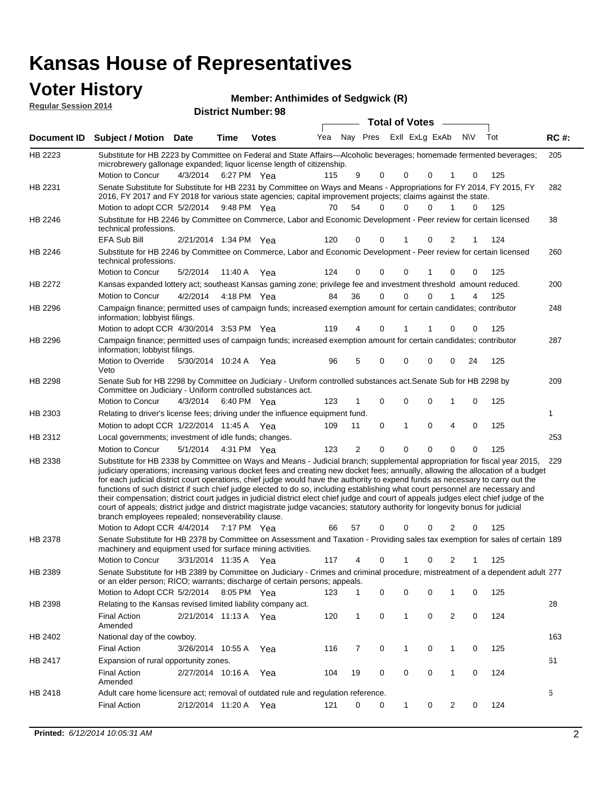| <b>Voter History</b><br><b>Regular Session 2014</b> |                                                                                                                                                                                                                                                                                                                                                                                                                                                                                                                                                                                                                                                                                                                                                                                                                                                                                                         |                       |             | <b>Member: Anthimides of Sedgwick (R)</b><br><b>District Number: 98</b> |     |    |                               |                       |                |                |             |     |             |
|-----------------------------------------------------|---------------------------------------------------------------------------------------------------------------------------------------------------------------------------------------------------------------------------------------------------------------------------------------------------------------------------------------------------------------------------------------------------------------------------------------------------------------------------------------------------------------------------------------------------------------------------------------------------------------------------------------------------------------------------------------------------------------------------------------------------------------------------------------------------------------------------------------------------------------------------------------------------------|-----------------------|-------------|-------------------------------------------------------------------------|-----|----|-------------------------------|-----------------------|----------------|----------------|-------------|-----|-------------|
|                                                     |                                                                                                                                                                                                                                                                                                                                                                                                                                                                                                                                                                                                                                                                                                                                                                                                                                                                                                         |                       |             |                                                                         |     |    |                               | <b>Total of Votes</b> |                |                |             |     |             |
| <b>Document ID</b>                                  | <b>Subject / Motion Date</b>                                                                                                                                                                                                                                                                                                                                                                                                                                                                                                                                                                                                                                                                                                                                                                                                                                                                            |                       | Time        | <b>Votes</b>                                                            | Yea |    | Nav Pres                      |                       | Exll ExLg ExAb |                | <b>NV</b>   | Tot | <b>RC#:</b> |
| HB 2223                                             | Substitute for HB 2223 by Committee on Federal and State Affairs-Alcoholic beverages; homemade fermented beverages;<br>microbrewery gallonage expanded; liquor license length of citizenship.                                                                                                                                                                                                                                                                                                                                                                                                                                                                                                                                                                                                                                                                                                           |                       |             |                                                                         |     |    |                               |                       |                |                |             |     | 205         |
| HB 2231                                             | Motion to Concur<br>Senate Substitute for Substitute for HB 2231 by Committee on Ways and Means - Appropriations for FY 2014, FY 2015, FY                                                                                                                                                                                                                                                                                                                                                                                                                                                                                                                                                                                                                                                                                                                                                               | 4/3/2014              | 6:27 PM Yea |                                                                         | 115 |    | 9<br>$\Omega$                 | 0                     | $\mathbf{0}$   | 1              | 0           | 125 | 282         |
|                                                     | 2016, FY 2017 and FY 2018 for various state agencies; capital improvement projects; claims against the state.                                                                                                                                                                                                                                                                                                                                                                                                                                                                                                                                                                                                                                                                                                                                                                                           |                       |             |                                                                         |     |    |                               |                       |                |                |             |     |             |
|                                                     | Motion to adopt CCR 5/2/2014                                                                                                                                                                                                                                                                                                                                                                                                                                                                                                                                                                                                                                                                                                                                                                                                                                                                            |                       | 9:48 PM Yea |                                                                         | 70  | 54 | $\Omega$                      | $\Omega$              | $\mathbf{0}$   | 1              | 0           | 125 |             |
| HB 2246                                             | Substitute for HB 2246 by Committee on Commerce, Labor and Economic Development - Peer review for certain licensed<br>technical professions.                                                                                                                                                                                                                                                                                                                                                                                                                                                                                                                                                                                                                                                                                                                                                            |                       |             |                                                                         |     |    |                               |                       |                |                |             |     | 38          |
|                                                     | <b>EFA Sub Bill</b>                                                                                                                                                                                                                                                                                                                                                                                                                                                                                                                                                                                                                                                                                                                                                                                                                                                                                     | 2/21/2014 1:34 PM Yea |             |                                                                         | 120 |    | 0<br>$\Omega$                 | 1                     | 0              | 2              |             | 124 |             |
| HB 2246                                             | Substitute for HB 2246 by Committee on Commerce, Labor and Economic Development - Peer review for certain licensed<br>technical professions.                                                                                                                                                                                                                                                                                                                                                                                                                                                                                                                                                                                                                                                                                                                                                            |                       |             |                                                                         |     |    |                               |                       |                |                |             |     | 260         |
|                                                     | Motion to Concur                                                                                                                                                                                                                                                                                                                                                                                                                                                                                                                                                                                                                                                                                                                                                                                                                                                                                        | 5/2/2014              | 11:40 A     | Yea                                                                     | 124 |    | 0<br>$\Omega$                 | 0                     | 1              | $\mathbf 0$    | 0           | 125 |             |
| HB 2272                                             | Kansas expanded lottery act; southeast Kansas gaming zone; privilege fee and investment threshold amount reduced.                                                                                                                                                                                                                                                                                                                                                                                                                                                                                                                                                                                                                                                                                                                                                                                       |                       |             |                                                                         |     |    |                               |                       |                |                |             |     | 200         |
|                                                     | Motion to Concur                                                                                                                                                                                                                                                                                                                                                                                                                                                                                                                                                                                                                                                                                                                                                                                                                                                                                        | 4/2/2014              |             | 4:18 PM Yea                                                             | 84  | 36 | 0                             | 0                     | 0              | 1              | 4           | 125 |             |
| HB 2296                                             | Campaign finance; permitted uses of campaign funds; increased exemption amount for certain candidates; contributor<br>information; lobbyist filings.                                                                                                                                                                                                                                                                                                                                                                                                                                                                                                                                                                                                                                                                                                                                                    |                       |             |                                                                         |     |    |                               |                       |                |                |             |     | 248         |
|                                                     | Motion to adopt CCR 4/30/2014 3:53 PM Yea                                                                                                                                                                                                                                                                                                                                                                                                                                                                                                                                                                                                                                                                                                                                                                                                                                                               |                       |             |                                                                         | 119 |    | 4<br>0                        | 1                     |                | 0              | 0           | 125 |             |
| HB 2296                                             | Campaign finance; permitted uses of campaign funds; increased exemption amount for certain candidates; contributor<br>information; lobbyist filings.                                                                                                                                                                                                                                                                                                                                                                                                                                                                                                                                                                                                                                                                                                                                                    |                       |             |                                                                         |     |    |                               |                       |                |                |             |     | 287         |
|                                                     | Motion to Override<br>Veto                                                                                                                                                                                                                                                                                                                                                                                                                                                                                                                                                                                                                                                                                                                                                                                                                                                                              | 5/30/2014 10:24 A     |             | Yea                                                                     | 96  |    | 5<br>$\Omega$                 | 0                     | 0              | 0              | 24          | 125 |             |
| HB 2298                                             | Senate Sub for HB 2298 by Committee on Judiciary - Uniform controlled substances act. Senate Sub for HB 2298 by<br>Committee on Judiciary - Uniform controlled substances act.                                                                                                                                                                                                                                                                                                                                                                                                                                                                                                                                                                                                                                                                                                                          |                       |             |                                                                         |     |    |                               |                       |                |                |             |     | 209         |
|                                                     | Motion to Concur                                                                                                                                                                                                                                                                                                                                                                                                                                                                                                                                                                                                                                                                                                                                                                                                                                                                                        | 4/3/2014              | 6:40 PM Yea |                                                                         | 123 |    | $\mathbf 0$<br>1              | 0                     | $\mathbf 0$    | 1              | 0           | 125 |             |
| HB 2303                                             | Relating to driver's license fees; driving under the influence equipment fund.                                                                                                                                                                                                                                                                                                                                                                                                                                                                                                                                                                                                                                                                                                                                                                                                                          |                       |             |                                                                         |     |    |                               |                       |                |                |             |     | 1           |
|                                                     | Motion to adopt CCR 1/22/2014 11:45 A Yea                                                                                                                                                                                                                                                                                                                                                                                                                                                                                                                                                                                                                                                                                                                                                                                                                                                               |                       |             |                                                                         | 109 | 11 | $\mathbf 0$                   | $\mathbf{1}$          | $\overline{0}$ | $\overline{4}$ | $\mathbf 0$ | 125 |             |
| HB 2312                                             | Local governments; investment of idle funds; changes.                                                                                                                                                                                                                                                                                                                                                                                                                                                                                                                                                                                                                                                                                                                                                                                                                                                   |                       |             |                                                                         |     |    |                               |                       |                |                |             |     | 253         |
|                                                     | Motion to Concur                                                                                                                                                                                                                                                                                                                                                                                                                                                                                                                                                                                                                                                                                                                                                                                                                                                                                        | 5/1/2014              | 4:31 PM Yea |                                                                         | 123 |    | $\overline{2}$<br>$\mathbf 0$ | 0                     | 0              | 0              | 0           | 125 |             |
| HB 2338                                             | Substitute for HB 2338 by Committee on Ways and Means - Judicial branch; supplemental appropriation for fiscal year 2015, 229<br>judiciary operations; increasing various docket fees and creating new docket fees; annually, allowing the allocation of a budget<br>for each judicial district court operations, chief judge would have the authority to expend funds as necessary to carry out the<br>functions of such district if such chief judge elected to do so, including establishing what court personnel are necessary and<br>their compensation; district court judges in judicial district elect chief judge and court of appeals judges elect chief judge of the<br>court of appeals; district judge and district magistrate judge vacancies; statutory authority for longevity bonus for judicial<br>branch employees repealed; nonseverability clause.<br>Motion to Adopt CCR 4/4/2014 |                       | 7:17 PM Yea |                                                                         | 66  | 57 | $\Omega$                      | 0                     | 0              | $\overline{2}$ | 0           | 125 |             |
| HB 2378                                             | Senate Substitute for HB 2378 by Committee on Assessment and Taxation - Providing sales tax exemption for sales of certain 189<br>machinery and equipment used for surface mining activities.                                                                                                                                                                                                                                                                                                                                                                                                                                                                                                                                                                                                                                                                                                           |                       |             |                                                                         |     |    |                               |                       |                |                |             |     |             |

3/31/2014 Motion to Concur Yea 125 11:35 A 117 4 0 0 21 1 Senate Substitute for HB 2389 by Committee on Judiciary - Crimes and criminal procedure; mistreatment of a dependent adult 277 Motion to Adopt CCR 5/2/2014 8:05 PM Yea 123 1 0 0 0 1 0 125 HB 2389 or an elder person; RICO; warrants; discharge of certain persons; appeals. 28 2/21/2014 Final Action Yea 124 11:13 A 120 1 0 0 20 1 HB 2398 Amended Relating to the Kansas revised limited liability company act. 163 Final Action 3/26/2014 10:55 A Yea 116 7 0 1 0 125 HB 2402 National day of the cowboy. 61 2/27/2014 Final Action Yea 124 10:16 A 104 19 0 0 10 0 HB 2417 Amended Expansion of rural opportunity zones.

2/12/2014 Final Action Yea 124 11:20 A 121 0 0 0 20 1

Adult care home licensure act; removal of outdated rule and regulation reference.

HB 2418

6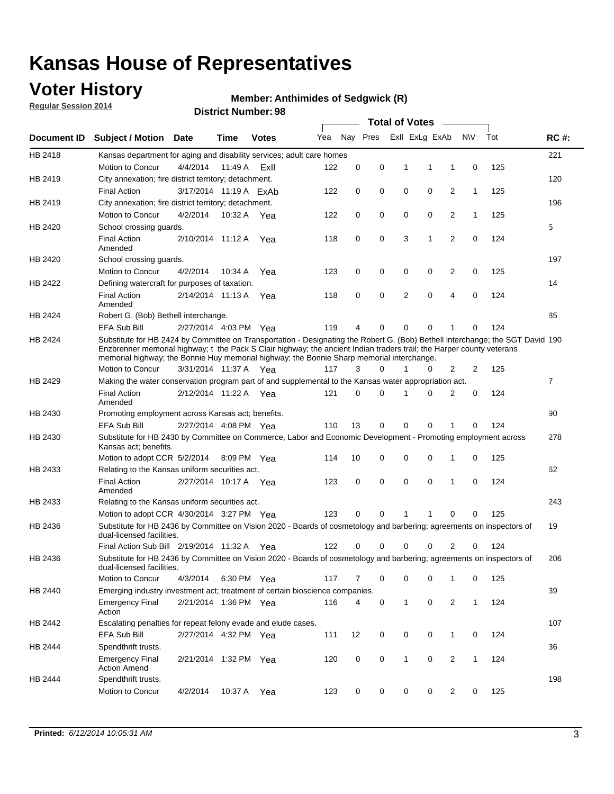### **Voter History**

**Regular Session 2014**

#### **Member: Anthimides of Sedgwick (R)**

|             |                                                                                                                                                                                                                                                                                                                                                      |                        |             | DISTRICT MAILINGL. 30 |     |          |          | <b>Total of Votes</b>      |                |              |     |                |
|-------------|------------------------------------------------------------------------------------------------------------------------------------------------------------------------------------------------------------------------------------------------------------------------------------------------------------------------------------------------------|------------------------|-------------|-----------------------|-----|----------|----------|----------------------------|----------------|--------------|-----|----------------|
| Document ID | <b>Subject / Motion</b>                                                                                                                                                                                                                                                                                                                              | Date                   | Time        | <b>Votes</b>          | Yea |          | Nay Pres | Exll ExLg ExAb             |                | N\V          | Tot | <b>RC#:</b>    |
| HB 2418     | Kansas department for aging and disability services; adult care homes                                                                                                                                                                                                                                                                                |                        |             |                       |     |          |          |                            |                |              |     | 221            |
|             | <b>Motion to Concur</b>                                                                                                                                                                                                                                                                                                                              | 4/4/2014               | 11:49 A     | ExII                  | 122 | 0        | 0        | 1<br>1                     | 1              | 0            | 125 |                |
| HB 2419     | City annexation; fire district territory; detachment.                                                                                                                                                                                                                                                                                                |                        |             |                       |     |          |          |                            |                |              |     | 120            |
|             | <b>Final Action</b>                                                                                                                                                                                                                                                                                                                                  | 3/17/2014 11:19 A ExAb |             |                       | 122 | 0        | 0        | 0<br>0                     | $\overline{2}$ | $\mathbf{1}$ | 125 |                |
| HB 2419     | City annexation; fire district territory; detachment.                                                                                                                                                                                                                                                                                                |                        |             |                       |     |          |          |                            |                |              |     | 196            |
|             | Motion to Concur                                                                                                                                                                                                                                                                                                                                     | 4/2/2014               | 10:32 A Yea |                       | 122 | 0        | 0        | 0<br>0                     | $\overline{2}$ | 1            | 125 |                |
| HB 2420     | School crossing guards.                                                                                                                                                                                                                                                                                                                              |                        |             |                       |     |          |          |                            |                |              |     | 5              |
|             | <b>Final Action</b><br>Amended                                                                                                                                                                                                                                                                                                                       | 2/10/2014 11:12 A      |             | Yea                   | 118 | 0        | 0        | 3<br>1                     | $\overline{2}$ | 0            | 124 |                |
| HB 2420     | School crossing guards.                                                                                                                                                                                                                                                                                                                              |                        |             |                       |     |          |          |                            |                |              |     | 197            |
|             | Motion to Concur                                                                                                                                                                                                                                                                                                                                     | 4/2/2014               | 10:34 A     | Yea                   | 123 | 0        | 0        | 0<br>0                     | 2              | 0            | 125 |                |
| HB 2422     | Defining watercraft for purposes of taxation.                                                                                                                                                                                                                                                                                                        |                        |             |                       |     |          |          |                            |                |              |     | 14             |
|             | <b>Final Action</b><br>Amended                                                                                                                                                                                                                                                                                                                       | 2/14/2014 11:13 A      |             | Yea                   | 118 | 0        | 0        | 2<br>$\mathbf 0$           | $\overline{4}$ | 0            | 124 |                |
| HB 2424     | Robert G. (Bob) Bethell interchange.                                                                                                                                                                                                                                                                                                                 |                        |             |                       |     |          |          |                            |                |              |     | 85             |
|             | <b>EFA Sub Bill</b>                                                                                                                                                                                                                                                                                                                                  | 2/27/2014 4:03 PM Yea  |             |                       | 119 | 4        | 0        | $\Omega$<br>$\Omega$       | 1              | 0            | 124 |                |
| HB 2424     | Substitute for HB 2424 by Committee on Transportation - Designating the Robert G. (Bob) Bethell interchange; the SGT David 190<br>Enzbrenner memorial highway; t the Pack S Clair highway; the ancient Indian traders trail; the Harper county veterans<br>memorial highway; the Bonnie Huy memorial highway; the Bonnie Sharp memorial interchange. |                        |             |                       |     |          |          |                            |                |              |     |                |
|             | Motion to Concur                                                                                                                                                                                                                                                                                                                                     | 3/31/2014 11:37 A Yea  |             |                       | 117 | 3        | $\Omega$ | 1<br>0                     | $\overline{2}$ | 2            | 125 |                |
| HB 2429     | Making the water conservation program part of and supplemental to the Kansas water appropriation act.                                                                                                                                                                                                                                                |                        |             |                       |     |          |          |                            |                |              |     | $\overline{7}$ |
|             | <b>Final Action</b><br>Amended                                                                                                                                                                                                                                                                                                                       | 2/12/2014 11:22 A Yea  |             |                       | 121 | $\Omega$ | $\Omega$ | 0<br>1                     | $\overline{2}$ | $\mathbf 0$  | 124 |                |
| HB 2430     | Promoting employment across Kansas act; benefits.                                                                                                                                                                                                                                                                                                    |                        |             |                       |     |          |          |                            |                |              |     | 90             |
|             | <b>EFA Sub Bill</b>                                                                                                                                                                                                                                                                                                                                  | 2/27/2014 4:08 PM Yea  |             |                       | 110 | 13       | 0        | $\mathbf 0$<br>0           |                | 0            | 124 |                |
| HB 2430     | Substitute for HB 2430 by Committee on Commerce, Labor and Economic Development - Promoting employment across<br>Kansas act; benefits.                                                                                                                                                                                                               |                        |             |                       |     |          |          |                            |                |              |     | 278            |
|             | Motion to adopt CCR 5/2/2014                                                                                                                                                                                                                                                                                                                         |                        | 8:09 PM Yea |                       | 114 | 10       | 0        | 0<br>0                     | 1              | 0            | 125 |                |
| HB 2433     | Relating to the Kansas uniform securities act.                                                                                                                                                                                                                                                                                                       |                        |             |                       |     |          |          |                            |                |              |     | 62             |
|             | <b>Final Action</b><br>Amended                                                                                                                                                                                                                                                                                                                       | 2/27/2014 10:17 A Yea  |             |                       | 123 | 0        | 0        | $\mathbf 0$<br>$\mathbf 0$ | 1              | 0            | 124 |                |
| HB 2433     | Relating to the Kansas uniform securities act.                                                                                                                                                                                                                                                                                                       |                        |             |                       |     |          |          |                            |                |              |     | 243            |
|             | Motion to adopt CCR 4/30/2014 3:27 PM Yea                                                                                                                                                                                                                                                                                                            |                        |             |                       | 123 | $\Omega$ | $\Omega$ | 1<br>1                     | $\Omega$       | 0            | 125 |                |
| HB 2436     | Substitute for HB 2436 by Committee on Vision 2020 - Boards of cosmetology and barbering; agreements on inspectors of<br>dual-licensed facilities.                                                                                                                                                                                                   |                        |             |                       |     |          |          |                            |                |              |     | 19             |
|             | Final Action Sub Bill 2/19/2014 11:32 A                                                                                                                                                                                                                                                                                                              |                        |             | Yea                   | 122 | ი        | 0        | 0<br>O                     | 2              | 0            | 124 |                |
| HB 2436     | Substitute for HB 2436 by Committee on Vision 2020 - Boards of cosmetology and barbering; agreements on inspectors of<br>dual-licensed facilities.                                                                                                                                                                                                   |                        |             |                       |     |          |          |                            |                |              |     | 206            |
|             | Motion to Concur                                                                                                                                                                                                                                                                                                                                     | 4/3/2014               | 6:30 PM Yea |                       | 117 | 7        | 0        | 0<br>0                     | 1              | 0            | 125 |                |
| HB 2440     | Emerging industry investment act; treatment of certain bioscience companies.                                                                                                                                                                                                                                                                         |                        |             |                       |     |          |          |                            |                |              |     | 39             |
|             | <b>Emergency Final</b><br>Action                                                                                                                                                                                                                                                                                                                     | 2/21/2014 1:36 PM Yea  |             |                       | 116 | 4        | 0        | $\mathbf{1}$<br>0          | 2              | $\mathbf{1}$ | 124 |                |
| HB 2442     | Escalating penalties for repeat felony evade and elude cases.                                                                                                                                                                                                                                                                                        |                        |             |                       |     |          |          |                            |                |              |     | 107            |
|             | EFA Sub Bill                                                                                                                                                                                                                                                                                                                                         | 2/27/2014 4:32 PM Yea  |             |                       | 111 | 12       | 0        | 0<br>0                     | $\mathbf{1}$   | 0            | 124 |                |
| HB 2444     | Spendthrift trusts.                                                                                                                                                                                                                                                                                                                                  |                        |             |                       |     |          |          |                            |                |              |     | 36             |
|             | <b>Emergency Final</b><br><b>Action Amend</b>                                                                                                                                                                                                                                                                                                        | 2/21/2014 1:32 PM Yea  |             |                       | 120 | 0        | 0        | $\mathbf{1}$<br>0          | $\overline{2}$ | $\mathbf{1}$ | 124 |                |
| HB 2444     | Spendthrift trusts.                                                                                                                                                                                                                                                                                                                                  |                        |             |                       |     |          |          |                            |                |              |     | 198            |
|             | Motion to Concur                                                                                                                                                                                                                                                                                                                                     | 4/2/2014               | 10:37 A     | Yea                   | 123 | 0        | 0        | 0<br>0                     | $\overline{2}$ | 0            | 125 |                |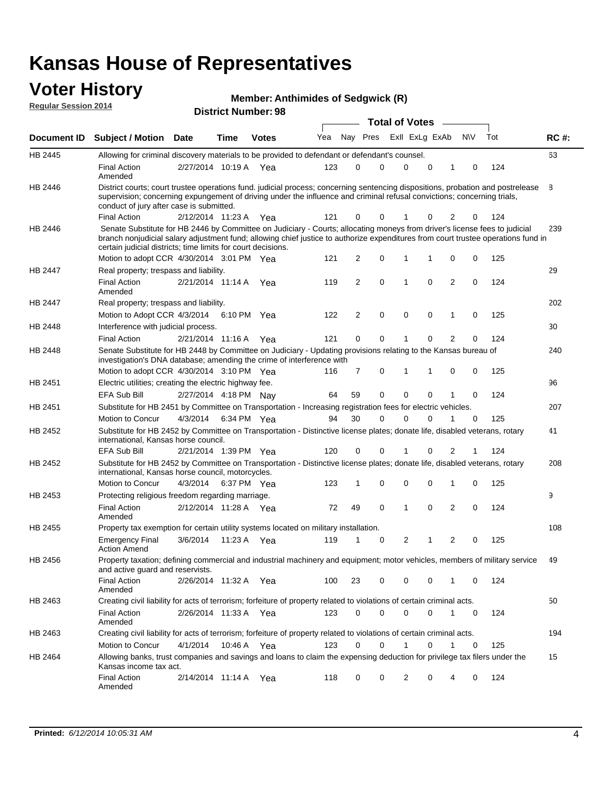#### **Voter History**

| <b>Member: Anthimides of Sedgwick (R)</b> |  |
|-------------------------------------------|--|
|-------------------------------------------|--|

**Document ID Subject / Motion Date Time Votes** Yea Nay Pres ExII ExLg ExAb N\V Tot RC #: **District Number: 98 Date Votes Total of Votes Time Regular Session 2014** ExII ExLg ExAb 63 2/27/2014 Final Action Yea 124 10:19 A 123 0 0 0 10 0 HB 2445 Amended Allowing for criminal discovery materials to be provided to defendant or defendant's counsel. 8 2/12/2014 Final Action Yea 124 11:23 A 121 0 0 0 20 1 HB 2446 District courts; court trustee operations fund. judicial process; concerning sentencing dispositions, probation and postrelease supervision; concerning expungement of driving under the influence and criminal refusal convictions; concerning trials, conduct of jury after case is submitted. 239 Motion to adopt CCR 4/30/2014 3:01 PM Yea  $121 \quad 2 \quad 0 \quad 1 \quad 1 \quad 0 \quad 0 \quad 125$ HB 2446 Senate Substitute for HB 2446 by Committee on Judiciary - Courts; allocating moneys from driver's license fees to judicial branch nonjudicial salary adjustment fund; allowing chief justice to authorize expenditures from court trustee operations fund in certain judicial districts; time limits for court decisions. 29 2/21/2014 Final Action Yea 124 11:14 A 119 2 0 0 20 1 HB 2447 Amended Real property; trespass and liability. 202 Motion to Adopt CCR 4/3/2014 6:10 PM Yea  $122$  2 0 0 0 1 0 125 HB 2447 Real property; trespass and liability. 30 2/21/2014 Final Action Yea 124 HB 2448 Interference with judicial process. 11:16 A 121 0 0 0 20 1 240 Motion to adopt CCR 4/30/2014 3:10 PM Yea  $116$  7 0 1 1 0 0 125 HB 2448 Senate Substitute for HB 2448 by Committee on Judiciary - Updating provisions relating to the Kansas bureau of investigation's DNA database; amending the crime of interference with 96 EFA Sub Bill 2/27/2014 4:18 PM Nay 64 59 0 0 0 0 1 0 124 HB 2451 Electric utilities; creating the electric highway fee. 207 4/3/2014 HB 2451 Motion to Concur Yea 125 6:34 PM 94 30 0 0 10 0 Substitute for HB 2451 by Committee on Transportation - Increasing registration fees for electric vehicles. 41 2/21/2014 EFA Sub Bill Yea 124 1:39 PM 120 0 0 0 21 1 HB 2452 Substitute for HB 2452 by Committee on Transportation - Distinctive license plates; donate life, disabled veterans, rotary international, Kansas horse council. 208 4/3/2014 HB 2452 Motion to Concur Yea 125 6:37 PM 123 1 0 0 10 0 Substitute for HB 2452 by Committee on Transportation - Distinctive license plates; donate life, disabled veterans, rotary international, Kansas horse council, motorcycles. 9 2/12/2014 Final Action Yea 124 11:28 A 72 49 0 0 20 1 HB 2453 Amended Protecting religious freedom regarding marriage. 108 3/6/2014 HB 2455 Emergency Final Yea 125 11:23 A 119 1 1 0 20 2 Action Amend Property tax exemption for certain utility systems located on military installation. 49 2/26/2014 Final Action Yea 124 11:32 A 100 23 0 0 10 0 HB 2456 Amended Property taxation; defining commercial and industrial machinery and equipment; motor vehicles, members of military service and active guard and reservists. 50 2/26/2014 Final Action Yea 124 11:33 A 123 0 0 0 10 0 HB 2463 Amended Creating civil liability for acts of terrorism; forfeiture of property related to violations of certain criminal acts. 194 4/1/2014 HB 2463 Motion to Concur 4/1/2014 10:46 A Yea 123 0 0 1 0 1 0 125 Creating civil liability for acts of terrorism; forfeiture of property related to violations of certain criminal acts. 10:46 A 15 2/14/2014 Final Action Yea 124 11:14 A 118 0 0 0 40 2 HB 2464 Amended Allowing banks, trust companies and savings and loans to claim the expensing deduction for privilege tax filers under the Kansas income tax act.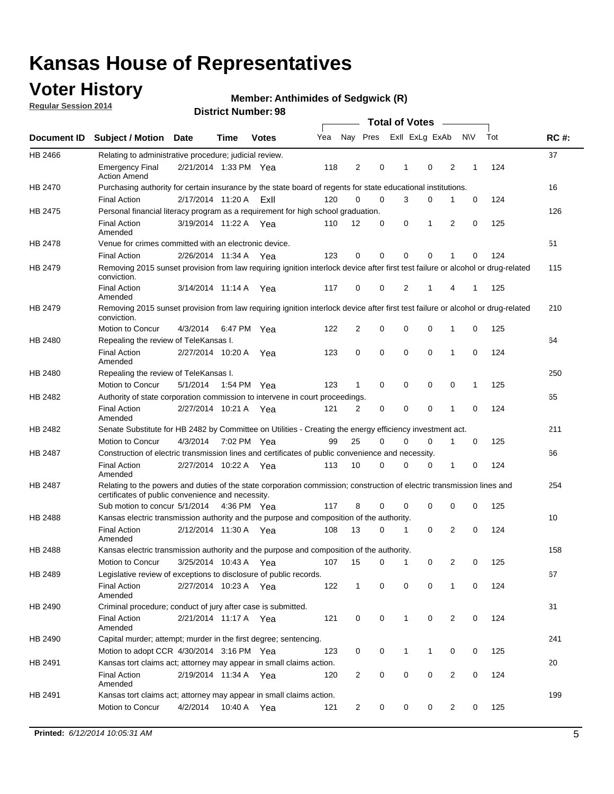### **Voter History**

**Regular Session 2014**

#### **Member: Anthimides of Sedgwick (R)**

|                |                                                                                                                                                                             |                       |                   |              |     |                |             | <b>Total of Votes</b> |             |   |           |     |             |
|----------------|-----------------------------------------------------------------------------------------------------------------------------------------------------------------------------|-----------------------|-------------------|--------------|-----|----------------|-------------|-----------------------|-------------|---|-----------|-----|-------------|
|                | Document ID Subject / Motion                                                                                                                                                | <b>Date</b>           | Time              | <b>Votes</b> | Yea | Nay Pres       |             | Exll ExLg ExAb        |             |   | <b>NV</b> | Tot | <b>RC#:</b> |
| HB 2466        | Relating to administrative procedure; judicial review.                                                                                                                      |                       |                   |              |     |                |             |                       |             |   |           |     | 37          |
|                | <b>Emergency Final</b><br><b>Action Amend</b>                                                                                                                               | 2/21/2014 1:33 PM Yea |                   |              | 118 | 2              | 0           | 1                     | $\mathbf 0$ | 2 | 1         | 124 |             |
| HB 2470        | Purchasing authority for certain insurance by the state board of regents for state educational institutions.                                                                |                       |                   |              |     |                |             |                       |             |   |           |     | 16          |
|                | <b>Final Action</b>                                                                                                                                                         | 2/17/2014 11:20 A     |                   | ExII         | 120 | $\mathbf 0$    | $\mathbf 0$ | 3                     | 0           | 1 | 0         | 124 |             |
| HB 2475        | Personal financial literacy program as a requirement for high school graduation.                                                                                            |                       |                   |              |     |                |             |                       |             |   |           |     | 126         |
|                | <b>Final Action</b><br>Amended                                                                                                                                              | 3/19/2014 11:22 A Yea |                   |              | 110 | 12             | 0           | 0                     | 1           | 2 | 0         | 125 |             |
| HB 2478        | Venue for crimes committed with an electronic device.                                                                                                                       |                       |                   |              |     |                |             |                       |             |   |           |     | 51          |
|                | <b>Final Action</b>                                                                                                                                                         | 2/26/2014 11:34 A     |                   | Yea          | 123 | 0              | 0           | $\mathbf 0$           | $\mathbf 0$ | 1 | 0         | 124 |             |
| HB 2479        | Removing 2015 sunset provision from law requiring ignition interlock device after first test failure or alcohol or drug-related<br>conviction.                              |                       |                   |              |     |                |             |                       |             |   |           |     | 115         |
|                | <b>Final Action</b><br>Amended                                                                                                                                              | 3/14/2014 11:14 A     |                   | Yea          | 117 | $\mathbf 0$    | 0           | 2                     | 1           | 4 | 1         | 125 |             |
| HB 2479        | Removing 2015 sunset provision from law requiring ignition interlock device after first test failure or alcohol or drug-related<br>conviction.                              |                       |                   |              |     |                |             |                       |             |   |           |     | 210         |
|                | Motion to Concur                                                                                                                                                            | 4/3/2014              |                   | 6:47 PM Yea  | 122 | $\overline{2}$ | 0           | 0                     | $\mathbf 0$ | 1 | 0         | 125 |             |
| HB 2480        | Repealing the review of TeleKansas I.                                                                                                                                       |                       |                   |              |     |                |             |                       |             |   |           |     | 64          |
|                | <b>Final Action</b><br>Amended                                                                                                                                              | 2/27/2014 10:20 A     |                   | Yea          | 123 | 0              | $\mathbf 0$ | $\mathbf 0$           | $\mathbf 0$ | 1 | 0         | 124 |             |
| HB 2480        | Repealing the review of TeleKansas I.                                                                                                                                       |                       |                   |              |     |                |             |                       |             |   |           |     | 250         |
|                | Motion to Concur                                                                                                                                                            | 5/1/2014              |                   | 1:54 PM Yea  | 123 | 1              | 0           | 0                     | 0           | 0 | 1         | 125 |             |
| HB 2482        | Authority of state corporation commission to intervene in court proceedings.                                                                                                |                       |                   |              |     |                |             |                       |             |   |           |     | 65          |
|                | <b>Final Action</b><br>Amended                                                                                                                                              | 2/27/2014 10:21 A     |                   | Yea          | 121 | 2              | 0           | $\mathbf 0$           | $\mathbf 0$ | 1 | 0         | 124 |             |
| HB 2482        | Senate Substitute for HB 2482 by Committee on Utilities - Creating the energy efficiency investment act.                                                                    |                       |                   |              |     |                |             |                       |             |   |           |     | 211         |
|                | Motion to Concur                                                                                                                                                            | 4/3/2014 7:02 PM Yea  |                   |              | 99  | 25             | $\Omega$    | 0                     | $\mathbf 0$ | 1 | 0         | 125 |             |
| <b>HB 2487</b> | Construction of electric transmission lines and certificates of public convenience and necessity.                                                                           |                       |                   |              |     |                |             |                       |             |   |           |     | 66          |
|                | <b>Final Action</b><br>Amended                                                                                                                                              | 2/27/2014 10:22 A Yea |                   |              | 113 | 10             | 0           | $\mathbf 0$           | 0           | 1 | 0         | 124 |             |
| HB 2487        | Relating to the powers and duties of the state corporation commission; construction of electric transmission lines and<br>certificates of public convenience and necessity. |                       |                   |              |     |                |             |                       |             |   |           |     | 254         |
|                | Sub motion to concur 5/1/2014                                                                                                                                               |                       |                   | 4:36 PM Yea  | 117 | 8              | 0           | 0                     | 0           | 0 | 0         | 125 |             |
| <b>HB 2488</b> | Kansas electric transmission authority and the purpose and composition of the authority.                                                                                    |                       |                   |              |     |                |             |                       |             |   |           |     | 10          |
|                | <b>Final Action</b><br>Amended                                                                                                                                              | 2/12/2014 11:30 A     |                   | Yea          | 108 | 13             | 0           | 1                     | $\mathbf 0$ | 2 | 0         | 124 |             |
| HB 2488        | Kansas electric transmission authority and the purpose and composition of the authority.                                                                                    |                       |                   |              |     |                |             |                       |             |   |           |     | 158         |
|                | Motion to Concur                                                                                                                                                            |                       | 3/25/2014 10:43 A | Yea          | 107 | 15             | 0           | $\mathbf{1}$          | 0           | 2 | 0         | 125 |             |
| HB 2489        | Legislative review of exceptions to disclosure of public records.                                                                                                           |                       |                   |              |     |                |             |                       |             |   |           |     | 67          |
|                | <b>Final Action</b><br>Amended                                                                                                                                              | 2/27/2014 10:23 A Yea |                   |              | 122 | $\mathbf 1$    | 0           | 0                     | 0           | 1 | 0         | 124 |             |
| HB 2490        | Criminal procedure; conduct of jury after case is submitted.                                                                                                                |                       |                   |              |     |                |             |                       |             |   |           |     | 31          |
|                | <b>Final Action</b><br>Amended                                                                                                                                              | 2/21/2014 11:17 A Yea |                   |              | 121 | 0              | 0           | 1                     | $\mathbf 0$ | 2 | 0         | 124 |             |
| HB 2490        | Capital murder; attempt; murder in the first degree; sentencing.                                                                                                            |                       |                   |              |     |                |             |                       |             |   |           |     | 241         |
|                | Motion to adopt CCR 4/30/2014 3:16 PM Yea                                                                                                                                   |                       |                   |              | 123 | 0              | 0           | 1                     | 1           | 0 | 0         | 125 |             |
| HB 2491        | Kansas tort claims act; attorney may appear in small claims action.                                                                                                         |                       |                   |              |     |                |             |                       |             |   |           |     | 20          |
|                | <b>Final Action</b><br>Amended                                                                                                                                              | 2/19/2014 11:34 A Yea |                   |              | 120 | $\overline{c}$ | 0           | 0                     | 0           | 2 | 0         | 124 |             |
| HB 2491        | Kansas tort claims act; attorney may appear in small claims action.                                                                                                         |                       |                   |              |     |                |             |                       |             |   |           |     | 199         |
|                | Motion to Concur                                                                                                                                                            | 4/2/2014              |                   | 10:40 A Yea  | 121 | 2              | 0           | 0                     | 0           | 2 | 0         | 125 |             |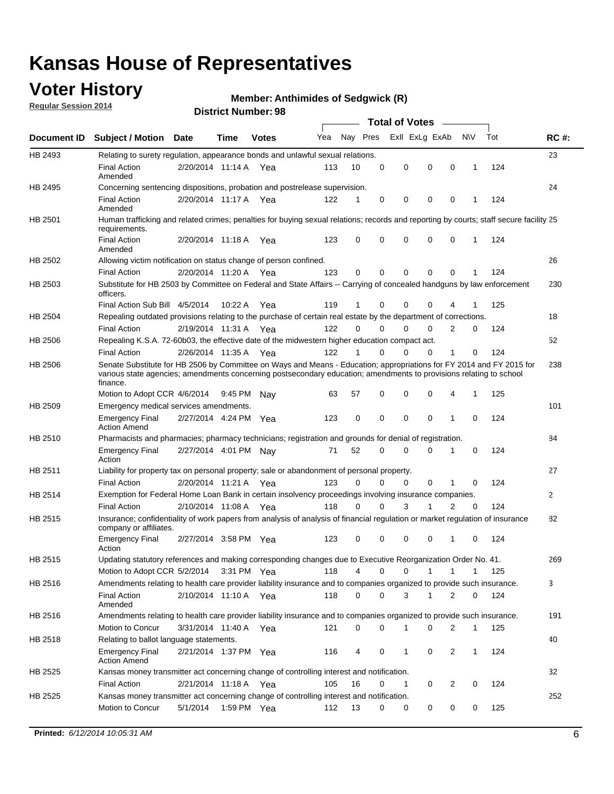### **Voter History**

**Regular Session 2014**

#### **Member: Anthimides of Sedgwick (R)**

|                    |                                                                                                                                                                                                                                                        |                       |             | <b>DISTILE MAILINGL. 30</b> |     |          |          | <b>Total of Votes</b>       |                |              |     |              |
|--------------------|--------------------------------------------------------------------------------------------------------------------------------------------------------------------------------------------------------------------------------------------------------|-----------------------|-------------|-----------------------------|-----|----------|----------|-----------------------------|----------------|--------------|-----|--------------|
| <b>Document ID</b> | <b>Subject / Motion Date</b>                                                                                                                                                                                                                           |                       | <b>Time</b> | <b>Votes</b>                | Yea | Nay Pres |          | Exll ExLg ExAb              | $\sim$         | N\V          | Tot | <b>RC#:</b>  |
| HB 2493            | Relating to surety regulation, appearance bonds and unlawful sexual relations.                                                                                                                                                                         |                       |             |                             |     |          |          |                             |                |              |     | 23           |
|                    | <b>Final Action</b><br>Amended                                                                                                                                                                                                                         | 2/20/2014 11:14 A Yea |             |                             | 113 | 10       | 0        | 0<br>$\mathbf 0$            | $\mathbf 0$    | $\mathbf 1$  | 124 |              |
| HB 2495            | Concerning sentencing dispositions, probation and postrelease supervision.                                                                                                                                                                             |                       |             |                             |     |          |          |                             |                |              |     | 24           |
|                    | <b>Final Action</b><br>Amended                                                                                                                                                                                                                         | 2/20/2014 11:17 A     |             | Yea                         | 122 | 1        | 0        | 0<br>0                      | $\mathbf 0$    | 1            | 124 |              |
| HB 2501            | Human trafficking and related crimes; penalties for buying sexual relations; records and reporting by courts; staff secure facility 25<br>requirements.                                                                                                |                       |             |                             |     |          |          |                             |                |              |     |              |
|                    | <b>Final Action</b><br>Amended                                                                                                                                                                                                                         | 2/20/2014 11:18 A Yea |             |                             | 123 | 0        | 0        | 0<br>0                      | $\mathbf 0$    | 1            | 124 |              |
| HB 2502            | Allowing victim notification on status change of person confined.                                                                                                                                                                                      |                       |             |                             |     |          |          |                             |                |              |     | 26           |
|                    | <b>Final Action</b>                                                                                                                                                                                                                                    | 2/20/2014 11:20 A Yea |             |                             | 123 | 0        | 0        | 0<br>0                      | $\mathbf 0$    |              | 124 |              |
| HB 2503            | Substitute for HB 2503 by Committee on Federal and State Affairs -- Carrying of concealed handguns by law enforcement<br>officers.                                                                                                                     |                       |             |                             |     |          |          |                             |                |              |     | 230          |
|                    | Final Action Sub Bill 4/5/2014                                                                                                                                                                                                                         |                       | 10:22A      | Yea                         | 119 | 1        | 0        | 0<br>0                      |                |              | 125 |              |
| HB 2504            | Repealing outdated provisions relating to the purchase of certain real estate by the department of corrections.                                                                                                                                        |                       |             |                             |     |          |          |                             |                |              |     | 18           |
|                    | <b>Final Action</b>                                                                                                                                                                                                                                    | 2/19/2014 11:31 A     |             | Yea                         | 122 | $\Omega$ | 0        | 0<br>0                      | 2              | 0            | 124 |              |
| HB 2506            | Repealing K.S.A. 72-60b03, the effective date of the midwestern higher education compact act.                                                                                                                                                          |                       |             |                             |     |          |          |                             |                |              |     | 52           |
|                    | <b>Final Action</b>                                                                                                                                                                                                                                    | 2/26/2014 11:35 A Yea |             |                             | 122 | 1        | 0        | 0<br>0                      | 1              | 0            | 124 |              |
| HB 2506            | Senate Substitute for HB 2506 by Committee on Ways and Means - Education; appropriations for FY 2014 and FY 2015 for<br>various state agencies; amendments concerning postsecondary education; amendments to provisions relating to school<br>finance. |                       |             |                             |     |          |          |                             |                |              |     | 238          |
|                    | Motion to Adopt CCR 4/6/2014                                                                                                                                                                                                                           |                       | 9:45 PM     | Nav                         | 63  | 57       | 0        | 0<br>0                      | 4              | $\mathbf 1$  | 125 |              |
| HB 2509            | Emergency medical services amendments.                                                                                                                                                                                                                 |                       |             |                             |     |          |          |                             |                |              |     | 101          |
|                    | <b>Emergency Final</b><br><b>Action Amend</b>                                                                                                                                                                                                          | 2/27/2014 4:24 PM Yea |             |                             | 123 | 0        | $\Omega$ | $\mathbf 0$<br>$\mathbf{0}$ | 1              | $\Omega$     | 124 |              |
| HB 2510            | Pharmacists and pharmacies; pharmacy technicians; registration and grounds for denial of registration.                                                                                                                                                 |                       |             |                             |     |          |          |                             |                |              |     | 84           |
|                    | <b>Emergency Final</b><br>Action                                                                                                                                                                                                                       | 2/27/2014 4:01 PM Nay |             |                             | 71  | 52       | 0        | 0<br>0                      | 1              | 0            | 124 |              |
| HB 2511            | Liability for property tax on personal property; sale or abandonment of personal property.                                                                                                                                                             |                       |             |                             |     |          |          |                             |                |              |     | 27           |
|                    | <b>Final Action</b>                                                                                                                                                                                                                                    | 2/20/2014 11:21 A     |             | Yea                         | 123 | 0        | 0        | 0<br>0                      | 1              | 0            | 124 |              |
| HB 2514            | Exemption for Federal Home Loan Bank in certain insolvency proceedings involving insurance companies.                                                                                                                                                  |                       |             |                             |     |          |          |                             |                |              |     | $\mathbf{2}$ |
|                    | <b>Final Action</b>                                                                                                                                                                                                                                    | 2/10/2014 11:08 A     |             | Yea                         | 118 | 0        | $\Omega$ | 3<br>1                      | $\overline{2}$ | $\mathbf 0$  | 124 |              |
| HB 2515            | Insurance; confidentiality of work papers from analysis of analysis of financial regulation or market regulation of insurance<br>company or affiliates.                                                                                                |                       |             |                             |     |          |          |                             |                |              |     | 82           |
|                    | <b>Emergency Final</b><br>Action                                                                                                                                                                                                                       | 2/27/2014 3:58 PM Yea |             |                             | 123 | 0        | 0        | 0<br>0                      | -1             | 0            | 124 |              |
| HB 2515            | Updating statutory references and making corresponding changes due to Executive Reorganization Order No. 41.                                                                                                                                           |                       |             |                             |     |          |          |                             |                |              |     | 269          |
|                    | Motion to Adopt CCR 5/2/2014 3:31 PM Yea                                                                                                                                                                                                               |                       |             |                             | 118 | 4        | 0        | 0<br>1                      | 1              | 1            | 125 |              |
| HB 2516            | Amendments relating to health care provider liability insurance and to companies organized to provide such insurance.                                                                                                                                  |                       |             |                             |     |          |          |                             |                |              |     | 3            |
|                    | <b>Final Action</b><br>Amended                                                                                                                                                                                                                         | 2/10/2014 11:10 A Yea |             |                             | 118 | 0        | 0        | 3<br>1                      | 2              | 0            | 124 |              |
| HB 2516            | Amendments relating to health care provider liability insurance and to companies organized to provide such insurance.                                                                                                                                  |                       |             |                             |     |          |          |                             |                |              |     | 191          |
|                    | <b>Motion to Concur</b>                                                                                                                                                                                                                                | 3/31/2014 11:40 A Yea |             |                             | 121 | 0        | 0        | 1<br>0                      | 2              | $\mathbf{1}$ | 125 |              |
| HB 2518            | Relating to ballot language statements.                                                                                                                                                                                                                |                       |             |                             |     |          |          |                             |                |              |     | 40           |
|                    | <b>Emergency Final</b><br><b>Action Amend</b>                                                                                                                                                                                                          | 2/21/2014 1:37 PM Yea |             |                             | 116 | 4        | 0        | 1<br>0                      | 2              | $\mathbf{1}$ | 124 |              |
| HB 2525            | Kansas money transmitter act concerning change of controlling interest and notification.                                                                                                                                                               |                       |             |                             |     |          |          |                             |                |              |     | 32           |
|                    | <b>Final Action</b>                                                                                                                                                                                                                                    | 2/21/2014 11:18 A Yea |             |                             | 105 | 16       | 0        | 1<br>0                      | 2              | 0            | 124 |              |
| HB 2525            | Kansas money transmitter act concerning change of controlling interest and notification.                                                                                                                                                               |                       |             |                             |     |          |          |                             |                |              |     | 252          |
|                    | Motion to Concur                                                                                                                                                                                                                                       | 5/1/2014              | 1:59 PM Yea |                             | 112 | 13       | 0        | 0<br>0                      | 0              | 0            | 125 |              |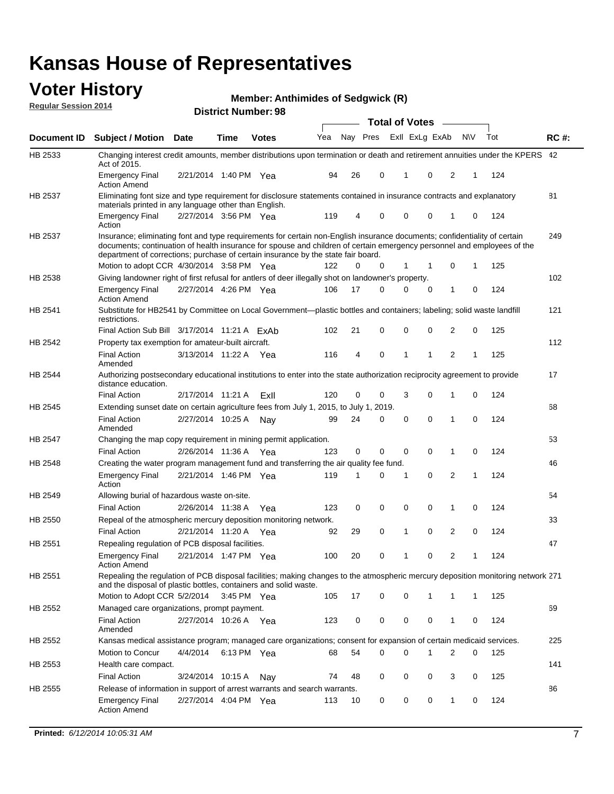#### **Voter History Regular Session 2014**

**Member: Anthimides of Sedgwick (R)** 

|                    |                                                                                                                                                                                                                                                                                                                                           |                       |             | DISTRICT MAILINGL. 30 |     |    |             | <b>Total of Votes</b> |              |                |                |             |     |             |
|--------------------|-------------------------------------------------------------------------------------------------------------------------------------------------------------------------------------------------------------------------------------------------------------------------------------------------------------------------------------------|-----------------------|-------------|-----------------------|-----|----|-------------|-----------------------|--------------|----------------|----------------|-------------|-----|-------------|
| <b>Document ID</b> | <b>Subject / Motion Date</b>                                                                                                                                                                                                                                                                                                              |                       | Time        | <b>Votes</b>          | Yea |    | Nay Pres    |                       |              | Exll ExLg ExAb | <b>NV</b>      |             | Tot | <b>RC#:</b> |
| HB 2533            | Changing interest credit amounts, member distributions upon termination or death and retirement annuities under the KPERS 42<br>Act of 2015.                                                                                                                                                                                              |                       |             |                       |     |    |             |                       |              |                |                |             |     |             |
|                    | <b>Emergency Final</b><br><b>Action Amend</b>                                                                                                                                                                                                                                                                                             | 2/21/2014 1:40 PM Yea |             |                       | 94  | 26 | 0           |                       | 1            | 0              | 2              | 1           | 124 |             |
| HB 2537            | Eliminating font size and type requirement for disclosure statements contained in insurance contracts and explanatory<br>materials printed in any language other than English.                                                                                                                                                            |                       |             |                       |     |    |             |                       |              |                |                |             |     | 81          |
|                    | <b>Emergency Final</b><br>Action                                                                                                                                                                                                                                                                                                          | 2/27/2014 3:56 PM Yea |             |                       | 119 | 4  | 0           |                       | 0            | 0              | 1              | 0           | 124 |             |
| HB 2537            | Insurance; eliminating font and type requirements for certain non-English insurance documents; confidentiality of certain<br>documents; continuation of health insurance for spouse and children of certain emergency personnel and employees of the<br>department of corrections; purchase of certain insurance by the state fair board. |                       |             |                       |     |    |             |                       |              |                |                |             |     | 249         |
|                    | Motion to adopt CCR 4/30/2014 3:58 PM Yea                                                                                                                                                                                                                                                                                                 |                       |             |                       | 122 | 0  | 0           |                       | 1            | 1              | 0              | 1           | 125 |             |
| HB 2538            | Giving landowner right of first refusal for antlers of deer illegally shot on landowner's property.                                                                                                                                                                                                                                       |                       |             |                       |     |    |             |                       |              |                |                |             |     | 102         |
|                    | <b>Emergency Final</b><br><b>Action Amend</b>                                                                                                                                                                                                                                                                                             | 2/27/2014 4:26 PM Yea |             |                       | 106 | 17 | 0           |                       | 0            | 0              | 1              | 0           | 124 |             |
| HB 2541            | Substitute for HB2541 by Committee on Local Government—plastic bottles and containers; labeling; solid waste landfill<br>restrictions.                                                                                                                                                                                                    |                       |             |                       |     |    |             |                       |              |                |                |             |     | 121         |
|                    | Final Action Sub Bill 3/17/2014 11:21 A ExAb                                                                                                                                                                                                                                                                                              |                       |             |                       | 102 | 21 | 0           |                       | $\mathbf 0$  | 0              | 2              | 0           | 125 |             |
| HB 2542            | Property tax exemption for amateur-built aircraft.                                                                                                                                                                                                                                                                                        |                       |             |                       |     |    |             |                       |              |                |                |             |     | 112         |
|                    | <b>Final Action</b><br>Amended                                                                                                                                                                                                                                                                                                            | 3/13/2014 11:22 A Yea |             |                       | 116 | 4  | $\mathbf 0$ |                       | $\mathbf{1}$ | 1              | 2              | 1           | 125 |             |
| <b>HB 2544</b>     | Authorizing postsecondary educational institutions to enter into the state authorization reciprocity agreement to provide<br>distance education.                                                                                                                                                                                          |                       |             |                       |     |    |             |                       |              |                |                |             |     | 17          |
|                    | <b>Final Action</b>                                                                                                                                                                                                                                                                                                                       | 2/17/2014 11:21 A     |             | ExII                  | 120 | 0  | 0           |                       | 3            | $\Omega$       | 1              | 0           | 124 |             |
| HB 2545            | Extending sunset date on certain agriculture fees from July 1, 2015, to July 1, 2019.                                                                                                                                                                                                                                                     |                       |             |                       |     |    |             |                       |              |                |                |             |     | 68          |
|                    | <b>Final Action</b><br>Amended                                                                                                                                                                                                                                                                                                            | 2/27/2014 10:25 A     |             | Nav                   | 99  | 24 | 0           |                       | 0            | $\Omega$       | 1              | $\Omega$    | 124 |             |
| HB 2547            | Changing the map copy requirement in mining permit application.                                                                                                                                                                                                                                                                           |                       |             |                       |     |    |             |                       |              |                |                |             |     | 53          |
|                    | <b>Final Action</b>                                                                                                                                                                                                                                                                                                                       | 2/26/2014 11:36 A Yea |             |                       | 123 | 0  | 0           |                       | $\mathbf 0$  | 0              | 1              | 0           | 124 |             |
| HB 2548            | Creating the water program management fund and transferring the air quality fee fund.                                                                                                                                                                                                                                                     |                       |             |                       |     |    |             |                       |              |                |                |             |     | 46          |
|                    | <b>Emergency Final</b><br>Action                                                                                                                                                                                                                                                                                                          | 2/21/2014 1:46 PM Yea |             |                       | 119 | 1  | 0           |                       | 1            | $\mathbf 0$    | 2              | 1           | 124 |             |
| HB 2549            | Allowing burial of hazardous waste on-site.                                                                                                                                                                                                                                                                                               |                       |             |                       |     |    |             |                       |              |                |                |             |     | 54          |
|                    | <b>Final Action</b>                                                                                                                                                                                                                                                                                                                       | 2/26/2014 11:38 A Yea |             |                       | 123 | 0  | 0           |                       | 0            | 0              | 1              | 0           | 124 |             |
| HB 2550            | Repeal of the atmospheric mercury deposition monitoring network.                                                                                                                                                                                                                                                                          |                       |             |                       |     |    |             |                       |              |                |                |             |     | 33          |
|                    | <b>Final Action</b>                                                                                                                                                                                                                                                                                                                       | 2/21/2014 11:20 A Yea |             |                       | 92  | 29 | 0           |                       | $\mathbf{1}$ | 0              | 2              | $\mathbf 0$ | 124 |             |
| HB 2551            | Repealing regulation of PCB disposal facilities.                                                                                                                                                                                                                                                                                          |                       |             |                       |     |    |             |                       |              |                |                |             |     | 47          |
|                    | <b>Emergency Final</b><br><b>Action Amend</b>                                                                                                                                                                                                                                                                                             | 2/21/2014 1:47 PM Yea |             |                       | 100 | 20 | 0           |                       | 1            | 0              | 2              | 1           | 124 |             |
| HB 2551            | Repealing the regulation of PCB disposal facilities; making changes to the atmospheric mercury deposition monitoring network 271<br>and the disposal of plastic bottles, containers and solid waste.                                                                                                                                      |                       |             |                       |     |    |             |                       |              |                |                |             |     |             |
|                    | Motion to Adopt CCR 5/2/2014                                                                                                                                                                                                                                                                                                              |                       | 3:45 PM Yea |                       | 105 | 17 | 0           |                       | 0            | 1              | 1              | 1           | 125 |             |
| HB 2552            | Managed care organizations, prompt payment.                                                                                                                                                                                                                                                                                               |                       |             |                       |     |    |             |                       |              |                |                |             |     | 69          |
|                    | <b>Final Action</b><br>Amended                                                                                                                                                                                                                                                                                                            | 2/27/2014 10:26 A Yea |             |                       | 123 | 0  | 0           |                       | 0            | 0              | 1              | 0           | 124 |             |
| HB 2552            | Kansas medical assistance program; managed care organizations; consent for expansion of certain medicaid services.                                                                                                                                                                                                                        |                       |             |                       |     |    |             |                       |              |                |                |             |     | 225         |
|                    | Motion to Concur                                                                                                                                                                                                                                                                                                                          | 4/4/2014              | 6:13 PM Yea |                       | 68  | 54 | 0           |                       | $\Omega$     | 1              | $\overline{2}$ | 0           | 125 |             |
| HB 2553            | Health care compact.                                                                                                                                                                                                                                                                                                                      |                       |             |                       |     |    |             |                       |              |                |                |             |     | 141         |
|                    | <b>Final Action</b>                                                                                                                                                                                                                                                                                                                       | 3/24/2014 10:15 A     |             | Nav                   | 74  | 48 | 0           |                       | 0            | 0              | 3              | 0           | 125 |             |
| HB 2555            | Release of information in support of arrest warrants and search warrants.                                                                                                                                                                                                                                                                 |                       |             |                       |     |    |             |                       |              |                |                |             |     | 86          |
|                    | <b>Emergency Final</b><br><b>Action Amend</b>                                                                                                                                                                                                                                                                                             | 2/27/2014 4:04 PM Yea |             |                       | 113 | 10 | 0           |                       | 0            | 0              | 1              | 0           | 124 |             |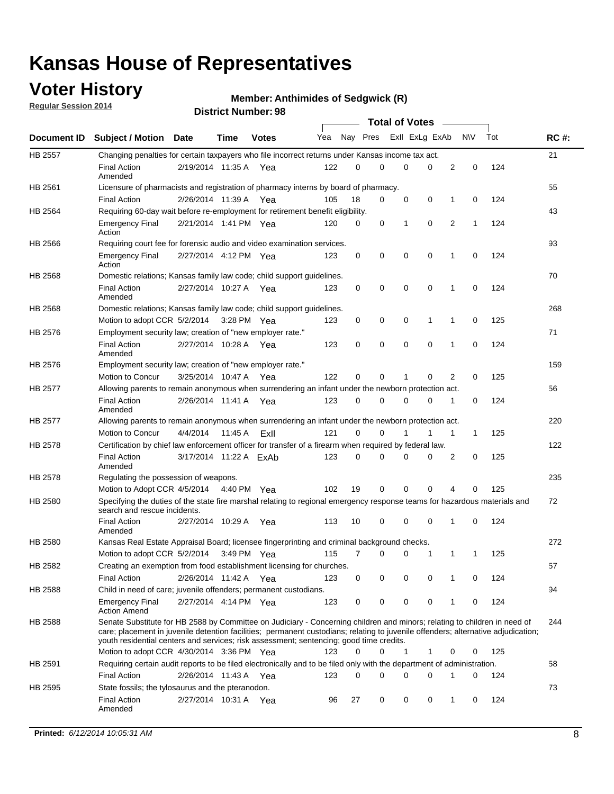### **Voter History**

**Regular Session 2014**

#### **Member: Anthimides of Sedgwick (R)**

|                |                                                                                                                                                                                                                                                                                                                                                           |                        |             |               |     |          |   | <b>Total of Votes</b> |             |              |              |     |             |
|----------------|-----------------------------------------------------------------------------------------------------------------------------------------------------------------------------------------------------------------------------------------------------------------------------------------------------------------------------------------------------------|------------------------|-------------|---------------|-----|----------|---|-----------------------|-------------|--------------|--------------|-----|-------------|
|                | Document ID Subject / Motion Date                                                                                                                                                                                                                                                                                                                         |                        | Time        | <b>Votes</b>  | Yea | Nay Pres |   | Exll ExLg ExAb        |             |              | <b>NV</b>    | Tot | <b>RC#:</b> |
| <b>HB 2557</b> | Changing penalties for certain taxpayers who file incorrect returns under Kansas income tax act.                                                                                                                                                                                                                                                          |                        |             |               |     |          |   |                       |             |              |              |     | 21          |
|                | <b>Final Action</b><br>Amended                                                                                                                                                                                                                                                                                                                            | 2/19/2014 11:35 A      |             | Yea           | 122 | 0        | 0 | 0                     | 0           | 2            | 0            | 124 |             |
| HB 2561        | Licensure of pharmacists and registration of pharmacy interns by board of pharmacy.                                                                                                                                                                                                                                                                       |                        |             |               |     |          |   |                       |             |              |              |     | 55          |
|                | <b>Final Action</b>                                                                                                                                                                                                                                                                                                                                       | 2/26/2014 11:39 A Yea  |             |               | 105 | 18       | 0 | 0                     | 0           | 1            | 0            | 124 |             |
| HB 2564        | Requiring 60-day wait before re-employment for retirement benefit eligibility.                                                                                                                                                                                                                                                                            |                        |             |               |     |          |   |                       |             |              |              |     | 43          |
|                | <b>Emergency Final</b><br>Action                                                                                                                                                                                                                                                                                                                          | 2/21/2014 1:41 PM Yea  |             |               | 120 | 0        | 0 | 1                     | 0           | 2            | 1            | 124 |             |
| HB 2566        | Requiring court fee for forensic audio and video examination services.                                                                                                                                                                                                                                                                                    |                        |             |               |     |          |   |                       |             |              |              |     | 93          |
|                | <b>Emergency Final</b><br>Action                                                                                                                                                                                                                                                                                                                          | 2/27/2014 4:12 PM Yea  |             |               | 123 | 0        | 0 | 0                     | $\mathbf 0$ | 1            | $\mathbf 0$  | 124 |             |
| HB 2568        | Domestic relations; Kansas family law code; child support guidelines.                                                                                                                                                                                                                                                                                     |                        |             |               |     |          |   |                       |             |              |              |     | 70          |
|                | <b>Final Action</b><br>Amended                                                                                                                                                                                                                                                                                                                            | 2/27/2014 10:27 A      |             | Yea           | 123 | 0        | 0 | 0                     | 0           | 1            | 0            | 124 |             |
| HB 2568        | Domestic relations; Kansas family law code; child support guidelines.                                                                                                                                                                                                                                                                                     |                        |             |               |     |          |   |                       |             |              |              |     | 268         |
|                | Motion to adopt CCR 5/2/2014                                                                                                                                                                                                                                                                                                                              |                        | 3:28 PM Yea |               | 123 | 0        | 0 | 0                     | 1           | 1            | 0            | 125 |             |
| HB 2576        | Employment security law; creation of "new employer rate."                                                                                                                                                                                                                                                                                                 |                        |             |               |     |          |   |                       |             |              |              |     | 71          |
|                | <b>Final Action</b><br>Amended                                                                                                                                                                                                                                                                                                                            | 2/27/2014 10:28 A      |             | Yea           | 123 | 0        | 0 | 0                     | 0           | 1            | 0            | 124 |             |
| HB 2576        | Employment security law; creation of "new employer rate."                                                                                                                                                                                                                                                                                                 |                        |             |               |     |          |   |                       |             |              |              |     | 159         |
|                | Motion to Concur                                                                                                                                                                                                                                                                                                                                          | 3/25/2014 10:47 A      |             | Yea           | 122 | 0        | 0 | 1                     | 0           | 2            | 0            | 125 |             |
| HB 2577        | Allowing parents to remain anonymous when surrendering an infant under the newborn protection act.                                                                                                                                                                                                                                                        |                        |             |               |     |          |   |                       |             |              |              |     | 56          |
|                | <b>Final Action</b><br>Amended                                                                                                                                                                                                                                                                                                                            | 2/26/2014 11:41 A Yea  |             |               | 123 | 0        | 0 | 0                     | $\Omega$    | 1            | 0            | 124 |             |
| HB 2577        | Allowing parents to remain anonymous when surrendering an infant under the newborn protection act.                                                                                                                                                                                                                                                        |                        |             |               |     |          |   |                       |             |              |              |     | 220         |
|                | Motion to Concur                                                                                                                                                                                                                                                                                                                                          | 4/4/2014               | 11:45 A     | Exll          | 121 | $\Omega$ | 0 |                       | 1           | $\mathbf{1}$ | $\mathbf{1}$ | 125 |             |
| HB 2578        | Certification by chief law enforcement officer for transfer of a firearm when required by federal law.                                                                                                                                                                                                                                                    |                        |             |               |     |          |   |                       |             |              |              |     | 122         |
|                | <b>Final Action</b><br>Amended                                                                                                                                                                                                                                                                                                                            | 3/17/2014 11:22 A ExAb |             |               | 123 | 0        | 0 | 0                     | $\Omega$    | 2            | 0            | 125 |             |
| HB 2578        | Regulating the possession of weapons.                                                                                                                                                                                                                                                                                                                     |                        |             |               |     |          |   |                       |             |              |              |     | 235         |
|                | Motion to Adopt CCR 4/5/2014 4:40 PM Yea                                                                                                                                                                                                                                                                                                                  |                        |             |               | 102 | 19       | 0 | 0                     | 0           | 4            | $\Omega$     | 125 |             |
| HB 2580        | Specifying the duties of the state fire marshal relating to regional emergency response teams for hazardous materials and<br>search and rescue incidents.                                                                                                                                                                                                 |                        |             |               |     |          |   |                       |             |              |              |     | 72          |
|                | <b>Final Action</b><br>Amended                                                                                                                                                                                                                                                                                                                            | 2/27/2014 10:29 A      |             | Yea           | 113 | 10       | 0 | 0                     | 0           | 1            | 0            | 124 |             |
| HB 2580        | Kansas Real Estate Appraisal Board; licensee fingerprinting and criminal background checks.                                                                                                                                                                                                                                                               |                        |             |               |     |          |   |                       |             |              |              |     | 272         |
|                | Motion to adopt CCR 5/2/2014                                                                                                                                                                                                                                                                                                                              |                        |             | $3:49$ PM Yea | 115 | 7        | 0 | 0                     | 1           | 1            | -1           | 125 |             |
| HB 2582        | Creating an exemption from food establishment licensing for churches.                                                                                                                                                                                                                                                                                     |                        |             |               |     |          |   |                       |             |              |              |     | 57          |
|                | <b>Final Action</b>                                                                                                                                                                                                                                                                                                                                       | 2/26/2014 11:42 A Yea  |             |               | 123 | 0        | 0 | 0                     | 0           | 1            | 0            | 124 |             |
| HB 2588        | Child in need of care; juvenile offenders; permanent custodians.                                                                                                                                                                                                                                                                                          |                        |             |               |     |          |   |                       |             |              |              |     | 94          |
|                | <b>Emergency Final</b><br><b>Action Amend</b>                                                                                                                                                                                                                                                                                                             | 2/27/2014 4:14 PM Yea  |             |               | 123 | 0        | 0 | 0                     | 0           | 1            | 0            | 124 |             |
| HB 2588        | Senate Substitute for HB 2588 by Committee on Judiciary - Concerning children and minors; relating to children in need of<br>care; placement in juvenile detention facilities; permanent custodians; relating to juvenile offenders; alternative adjudication;<br>youth residential centers and services; risk assessment; sentencing; good time credits. |                        |             |               |     |          |   |                       |             |              |              |     | 244         |
|                | Motion to adopt CCR 4/30/2014 3:36 PM Yea                                                                                                                                                                                                                                                                                                                 |                        |             |               | 123 | 0        | 0 | 1                     | 1           | 0            | 0            | 125 |             |
| HB 2591        | Requiring certain audit reports to be filed electronically and to be filed only with the department of administration.                                                                                                                                                                                                                                    |                        |             |               |     |          |   |                       |             |              |              |     | 58          |
|                | <b>Final Action</b>                                                                                                                                                                                                                                                                                                                                       | 2/26/2014 11:43 A Yea  |             |               | 123 | 0        | 0 | 0                     | 0           | 1            | 0            | 124 |             |
| HB 2595        | State fossils; the tylosaurus and the pteranodon.                                                                                                                                                                                                                                                                                                         |                        |             |               |     |          |   |                       |             |              |              |     | 73          |
|                | <b>Final Action</b><br>Amended                                                                                                                                                                                                                                                                                                                            | 2/27/2014 10:31 A Yea  |             |               | 96  | 27       | 0 | 0                     | 0           | 1            | 0            | 124 |             |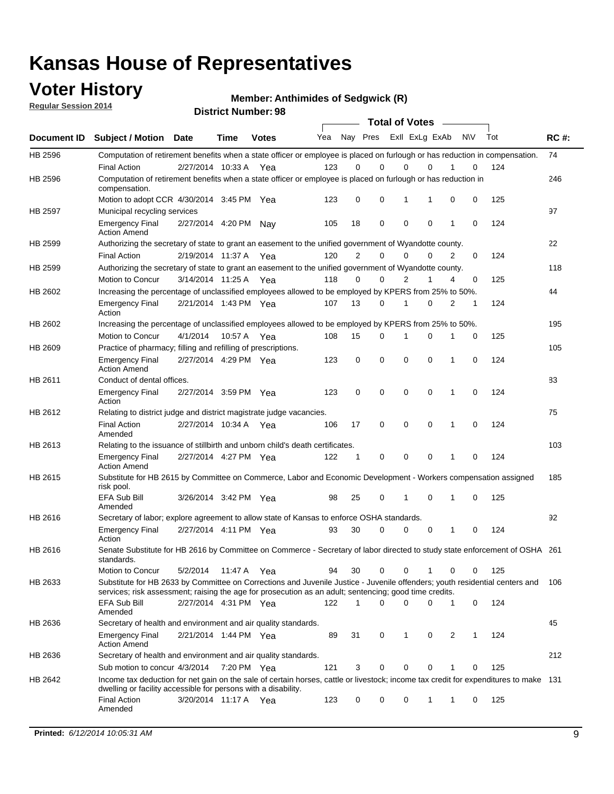### **Voter History**

**Regular Session 2014**

**Member: Anthimides of Sedgwick (R)** 

|                |                                                                                                                                                                                                                                       |                       |             | <b>DISTRICT MAILINGL. 30</b> |     |                |             |             | <b>Total of Votes</b> |   |           |     |             |
|----------------|---------------------------------------------------------------------------------------------------------------------------------------------------------------------------------------------------------------------------------------|-----------------------|-------------|------------------------------|-----|----------------|-------------|-------------|-----------------------|---|-----------|-----|-------------|
| Document ID    | <b>Subject / Motion</b>                                                                                                                                                                                                               | <b>Date</b>           | Time        | <b>Votes</b>                 | Yea |                | Nay Pres    |             | Exll ExLg ExAb        |   | <b>NV</b> | Tot | <b>RC#:</b> |
| HB 2596        | Computation of retirement benefits when a state officer or employee is placed on furlough or has reduction in compensation.                                                                                                           |                       |             |                              |     |                |             |             |                       |   |           |     | 74          |
|                | <b>Final Action</b>                                                                                                                                                                                                                   | 2/27/2014 10:33 A     |             | Yea                          | 123 | 0              | $\Omega$    | 0           | $\Omega$              |   | 0         | 124 |             |
| HB 2596        | Computation of retirement benefits when a state officer or employee is placed on furlough or has reduction in<br>compensation.                                                                                                        |                       |             |                              |     |                |             |             |                       |   |           |     | 246         |
|                | Motion to adopt CCR 4/30/2014 3:45 PM Yea                                                                                                                                                                                             |                       |             |                              | 123 | 0              | 0           | 1           | 1                     | 0 | 0         | 125 |             |
| <b>HB 2597</b> | Municipal recycling services                                                                                                                                                                                                          |                       |             |                              |     |                |             |             |                       |   |           |     | 97          |
|                | <b>Emergency Final</b><br><b>Action Amend</b>                                                                                                                                                                                         | 2/27/2014 4:20 PM     |             | Nav                          | 105 | 18             | $\mathbf 0$ | $\mathbf 0$ | $\mathbf 0$           | 1 | 0         | 124 |             |
| HB 2599        | Authorizing the secretary of state to grant an easement to the unified government of Wyandotte county.                                                                                                                                |                       |             |                              |     |                |             |             |                       |   |           |     | 22          |
|                | <b>Final Action</b>                                                                                                                                                                                                                   | 2/19/2014 11:37 A     |             | Yea                          | 120 | $\overline{2}$ | $\mathbf 0$ | 0           | $\Omega$              | 2 | 0         | 124 |             |
| HB 2599        | Authorizing the secretary of state to grant an easement to the unified government of Wyandotte county.                                                                                                                                |                       |             |                              |     |                |             |             |                       |   |           |     | 118         |
|                | Motion to Concur                                                                                                                                                                                                                      | 3/14/2014 11:25 A     |             | Yea                          | 118 | $\Omega$       | 0           | 2           | 1                     | 4 | 0         | 125 |             |
| HB 2602        | Increasing the percentage of unclassified employees allowed to be employed by KPERS from 25% to 50%.                                                                                                                                  |                       |             |                              |     |                |             |             |                       |   |           |     | 44          |
|                | <b>Emergency Final</b><br>Action                                                                                                                                                                                                      | 2/21/2014 1:43 PM Yea |             |                              | 107 | 13             | 0           | 1           | $\Omega$              | 2 | 1         | 124 |             |
| HB 2602        | Increasing the percentage of unclassified employees allowed to be employed by KPERS from 25% to 50%.                                                                                                                                  |                       |             |                              |     |                |             |             |                       |   |           |     | 195         |
|                | Motion to Concur                                                                                                                                                                                                                      | 4/1/2014              | 10:57 A Yea |                              | 108 | 15             | 0           | 1           | 0                     | 1 | 0         | 125 |             |
| HB 2609        | Practice of pharmacy; filling and refilling of prescriptions.                                                                                                                                                                         |                       |             |                              |     |                |             |             |                       |   |           |     | 105         |
|                | <b>Emergency Final</b><br><b>Action Amend</b>                                                                                                                                                                                         | 2/27/2014 4:29 PM Yea |             |                              | 123 | 0              | $\mathbf 0$ | $\mathbf 0$ | $\Omega$              | 1 | 0         | 124 |             |
| HB 2611        | Conduct of dental offices.                                                                                                                                                                                                            |                       |             |                              |     |                |             |             |                       |   |           |     | 83          |
|                | <b>Emergency Final</b><br>Action                                                                                                                                                                                                      | 2/27/2014 3:59 PM Yea |             |                              | 123 | 0              | $\mathbf 0$ | $\mathbf 0$ | $\mathbf 0$           | 1 | 0         | 124 |             |
| HB 2612        | Relating to district judge and district magistrate judge vacancies.                                                                                                                                                                   |                       |             |                              |     |                |             |             |                       |   |           |     | 75          |
|                | <b>Final Action</b><br>Amended                                                                                                                                                                                                        | 2/27/2014 10:34 A     |             | Yea                          | 106 | 17             | $\mathbf 0$ | $\mathbf 0$ | $\mathbf 0$           | 1 | 0         | 124 |             |
| HB 2613        | Relating to the issuance of stillbirth and unborn child's death certificates.                                                                                                                                                         |                       |             |                              |     |                |             |             |                       |   |           |     | 103         |
|                | <b>Emergency Final</b><br><b>Action Amend</b>                                                                                                                                                                                         | 2/27/2014 4:27 PM Yea |             |                              | 122 | 1              | 0           | $\mathbf 0$ | $\Omega$              | 1 | 0         | 124 |             |
| HB 2615        | Substitute for HB 2615 by Committee on Commerce, Labor and Economic Development - Workers compensation assigned<br>risk pool.                                                                                                         |                       |             |                              |     |                |             |             |                       |   |           |     | 185         |
|                | EFA Sub Bill<br>Amended                                                                                                                                                                                                               | 3/26/2014 3:42 PM Yea |             |                              | 98  | 25             | 0           | 1           | $\mathbf 0$           | 1 | 0         | 125 |             |
| HB 2616        | Secretary of labor; explore agreement to allow state of Kansas to enforce OSHA standards.                                                                                                                                             |                       |             |                              |     |                |             |             |                       |   |           |     | 92          |
|                | <b>Emergency Final</b><br>Action                                                                                                                                                                                                      | 2/27/2014 4:11 PM Yea |             |                              | 93  | 30             | 0           | 0           | 0                     | 1 | 0         | 124 |             |
| HB 2616        | Senate Substitute for HB 2616 by Committee on Commerce - Secretary of labor directed to study state enforcement of OSHA 261<br>standards.                                                                                             |                       |             |                              |     |                |             |             |                       |   |           |     |             |
|                | Motion to Concur                                                                                                                                                                                                                      | 5/2/2014              | 11:47 A Yea |                              | 94  | 30             | 0           | 0           | 1                     | 0 | 0         | 125 |             |
| HB 2633        | Substitute for HB 2633 by Committee on Corrections and Juvenile Justice - Juvenile offenders; youth residential centers and<br>services; risk assessment; raising the age for prosecution as an adult; sentencing; good time credits. |                       |             |                              |     |                |             |             |                       |   |           |     | 106         |
|                | EFA Sub Bill<br>Amended                                                                                                                                                                                                               | 2/27/2014 4:31 PM Yea |             |                              | 122 | 1              | 0           | $\mathbf 0$ | 0                     | 1 | 0         | 124 |             |
| HB 2636        | Secretary of health and environment and air quality standards.                                                                                                                                                                        |                       |             |                              |     |                |             |             |                       |   |           |     | 45          |
|                | <b>Emergency Final</b><br><b>Action Amend</b>                                                                                                                                                                                         | 2/21/2014 1:44 PM Yea |             |                              | 89  | 31             | 0           | 1           | 0                     | 2 | 1         | 124 |             |
| HB 2636        | Secretary of health and environment and air quality standards.                                                                                                                                                                        |                       |             |                              |     |                |             |             |                       |   |           |     | 212         |
|                | Sub motion to concur 4/3/2014                                                                                                                                                                                                         |                       | 7:20 PM Yea |                              | 121 | 3              | 0           | 0           | 0                     |   | 0         | 125 |             |
| HB 2642        | Income tax deduction for net gain on the sale of certain horses, cattle or livestock; income tax credit for expenditures to make 131<br>dwelling or facility accessible for persons with a disability.                                |                       |             |                              |     |                |             |             |                       |   |           |     |             |
|                | <b>Final Action</b><br>Amended                                                                                                                                                                                                        | 3/20/2014 11:17 A Yea |             |                              | 123 | 0              | 0           | 0           | 1                     | 1 | 0         | 125 |             |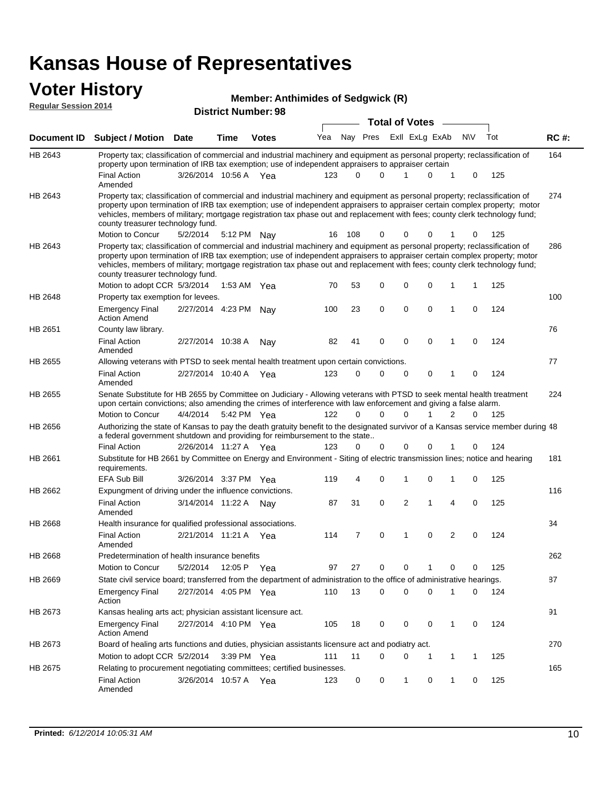# **Voter History**<br>**Regular Session 2014**

| <b>Regular Session 2014</b> |                                                                                                                                                                                                                                                                                                                                                                                                                               |                       |      | <b>Member: Anthimides of Sedgwick (R)</b> |     |          |          |                       |                |              |             |     |       |
|-----------------------------|-------------------------------------------------------------------------------------------------------------------------------------------------------------------------------------------------------------------------------------------------------------------------------------------------------------------------------------------------------------------------------------------------------------------------------|-----------------------|------|-------------------------------------------|-----|----------|----------|-----------------------|----------------|--------------|-------------|-----|-------|
|                             |                                                                                                                                                                                                                                                                                                                                                                                                                               |                       |      | <b>District Number: 98</b>                |     |          |          |                       |                |              |             |     |       |
|                             |                                                                                                                                                                                                                                                                                                                                                                                                                               |                       |      |                                           |     |          |          | <b>Total of Votes</b> |                |              |             |     |       |
| <b>Document ID</b>          | <b>Subject / Motion Date</b>                                                                                                                                                                                                                                                                                                                                                                                                  |                       | Time | <b>Votes</b>                              | Yea |          | Nay Pres |                       | Exll ExLg ExAb |              | <b>NV</b>   | Tot | RC #: |
| HB 2643                     | Property tax; classification of commercial and industrial machinery and equipment as personal property; reclassification of<br>property upon termination of IRB tax exemption; use of independent appraisers to appraiser certain                                                                                                                                                                                             |                       |      |                                           |     |          |          |                       |                |              |             |     | 164   |
|                             | <b>Final Action</b><br>Amended                                                                                                                                                                                                                                                                                                                                                                                                | 3/26/2014 10:56 A Yea |      |                                           | 123 | $\Omega$ | $\Omega$ | 1                     | 0              | 1            | 0           | 125 |       |
| HB 2643                     | Property tax; classification of commercial and industrial machinery and equipment as personal property; reclassification of<br>property upon termination of IRB tax exemption; use of independent appraisers to appraiser certain complex property; motor<br>vehicles, members of military; mortgage registration tax phase out and replacement with fees; county clerk technology fund;<br>county treasurer technology fund. |                       |      |                                           |     |          |          |                       |                |              |             |     | 274   |
|                             | Motion to Concur                                                                                                                                                                                                                                                                                                                                                                                                              | 5/2/2014              |      | 5:12 PM Nay                               | 16  | 108      | 0        | 0                     | 0              |              | 0           | 125 |       |
| HB 2643                     | Property tax; classification of commercial and industrial machinery and equipment as personal property; reclassification of<br>property upon termination of IRB tax exemption; use of independent appraisers to appraiser certain complex property; motor<br>vehicles, members of military; mortgage registration tax phase out and replacement with fees; county clerk technology fund;<br>county treasurer technology fund. |                       |      |                                           |     |          |          |                       |                |              |             |     | 286   |
|                             | Motion to adopt CCR 5/3/2014                                                                                                                                                                                                                                                                                                                                                                                                  |                       |      | 1:53 AM $Yea$                             | 70  | 53       | 0        | 0                     | 0              | 1            | -1          | 125 |       |
| HB 2648                     | Property tax exemption for levees.                                                                                                                                                                                                                                                                                                                                                                                            |                       |      |                                           |     |          |          |                       |                |              |             |     | 100   |
|                             | <b>Emergency Final</b><br><b>Action Amend</b>                                                                                                                                                                                                                                                                                                                                                                                 | 2/27/2014 4:23 PM     |      | Nav                                       | 100 | 23       | 0        | 0                     | 0              | 1            | 0           | 124 |       |
| HB 2651                     | County law library.                                                                                                                                                                                                                                                                                                                                                                                                           |                       |      |                                           |     |          |          |                       |                |              |             |     | 76    |
|                             | <b>Final Action</b><br>Amended                                                                                                                                                                                                                                                                                                                                                                                                | 2/27/2014 10:38 A     |      | Nav                                       | 82  | 41       | 0        | 0                     | $\mathbf 0$    | 1            | 0           | 124 |       |
| HB 2655                     | Allowing veterans with PTSD to seek mental health treatment upon certain convictions.                                                                                                                                                                                                                                                                                                                                         |                       |      |                                           |     |          |          |                       |                |              |             |     | 77    |
|                             | <b>Final Action</b><br>Amended                                                                                                                                                                                                                                                                                                                                                                                                | 2/27/2014 10:40 A     |      | Yea                                       | 123 | 0        | 0        | 0                     | $\mathbf 0$    | 1            | $\mathbf 0$ | 124 |       |
| HB 2655                     | Senate Substitute for HB 2655 by Committee on Judiciary - Allowing veterans with PTSD to seek mental health treatment<br>upon certain convictions; also amending the crimes of interference with law enforcement and giving a false alarm.                                                                                                                                                                                    |                       |      |                                           |     |          |          |                       |                |              |             |     | 224   |
|                             | Motion to Concur                                                                                                                                                                                                                                                                                                                                                                                                              | 4/4/2014              |      | 5:42 PM Yea                               | 122 | 0        | 0        | 0                     |                | 2            | $\Omega$    | 125 |       |
| HB 2656                     | Authorizing the state of Kansas to pay the death gratuity benefit to the designated survivor of a Kansas service member during 48<br>a federal government shutdown and providing for reimbursement to the state                                                                                                                                                                                                               |                       |      |                                           |     |          |          |                       |                |              |             |     |       |
|                             | <b>Final Action</b>                                                                                                                                                                                                                                                                                                                                                                                                           | 2/26/2014 11:27 A Yea |      |                                           | 123 | 0        | 0        | 0                     | 0              |              | $\mathbf 0$ | 124 |       |
| HB 2661                     | Substitute for HB 2661 by Committee on Energy and Environment - Siting of electric transmission lines; notice and hearing<br>requirements.                                                                                                                                                                                                                                                                                    |                       |      |                                           |     |          |          |                       |                |              |             |     | 181   |
|                             | <b>EFA Sub Bill</b>                                                                                                                                                                                                                                                                                                                                                                                                           | 3/26/2014 3:37 PM Yea |      |                                           | 119 | 4        | 0        | 1                     | 0              | 1            | 0           | 125 |       |
| HB 2662                     | Expungment of driving under the influence convictions.                                                                                                                                                                                                                                                                                                                                                                        |                       |      |                                           |     |          |          |                       |                |              |             |     | 116   |
|                             | <b>Final Action</b><br>Amended                                                                                                                                                                                                                                                                                                                                                                                                | 3/14/2014 11:22 A     |      | Nav                                       | 87  | 31       | 0        | 2                     | 1              | 4            | 0           | 125 |       |
| <b>HB 2668</b>              | Health insurance for qualified professional associations.                                                                                                                                                                                                                                                                                                                                                                     |                       |      |                                           |     |          |          |                       |                |              |             |     | 34    |
|                             | <b>Final Action</b><br>Amended                                                                                                                                                                                                                                                                                                                                                                                                | 2/21/2014 11:21 A Yea |      |                                           | 114 | 7        | 0        | 1                     | 0              | 2            | 0           | 124 |       |
| HB 2668                     | Predetermination of health insurance benefits                                                                                                                                                                                                                                                                                                                                                                                 |                       |      |                                           |     |          |          |                       |                |              |             |     | 262   |
|                             | Motion to Concur                                                                                                                                                                                                                                                                                                                                                                                                              | 5/2/2014              |      | 12:05 P Yea                               | 97  | 27       | 0        | 0                     | 1              | 0            | 0           | 125 |       |
| HB 2669                     | State civil service board; transferred from the department of administration to the office of administrative hearings.                                                                                                                                                                                                                                                                                                        |                       |      |                                           |     |          |          |                       |                |              |             |     | 87    |
|                             | <b>Emergency Final</b><br>Action                                                                                                                                                                                                                                                                                                                                                                                              | 2/27/2014 4:05 PM Yea |      |                                           | 110 | 13       | 0        | 0                     | 0              | 1            | 0           | 124 |       |
| HB 2673                     | Kansas healing arts act; physician assistant licensure act.                                                                                                                                                                                                                                                                                                                                                                   |                       |      |                                           |     |          |          |                       |                |              |             |     | 91    |
|                             | <b>Emergency Final</b><br><b>Action Amend</b>                                                                                                                                                                                                                                                                                                                                                                                 | 2/27/2014 4:10 PM Yea |      |                                           | 105 | 18       | 0        | 0                     | 0              | $\mathbf{1}$ | 0           | 124 |       |
| HB 2673                     | Board of healing arts functions and duties, physician assistants licensure act and podiatry act.                                                                                                                                                                                                                                                                                                                              |                       |      |                                           |     |          |          |                       |                |              |             |     | 270   |
|                             | Motion to adopt CCR 5/2/2014                                                                                                                                                                                                                                                                                                                                                                                                  |                       |      | $3:39$ PM Yea                             | 111 | 11       | 0        | 0                     | 1              | $\mathbf{1}$ | 1           | 125 |       |
| HB 2675                     | Relating to procurement negotiating committees; certified businesses.                                                                                                                                                                                                                                                                                                                                                         |                       |      |                                           |     |          |          |                       |                |              |             |     | 165   |

Final Action 3/26/2014 10:57 A Yea 123 0 0 1 0 125

Amended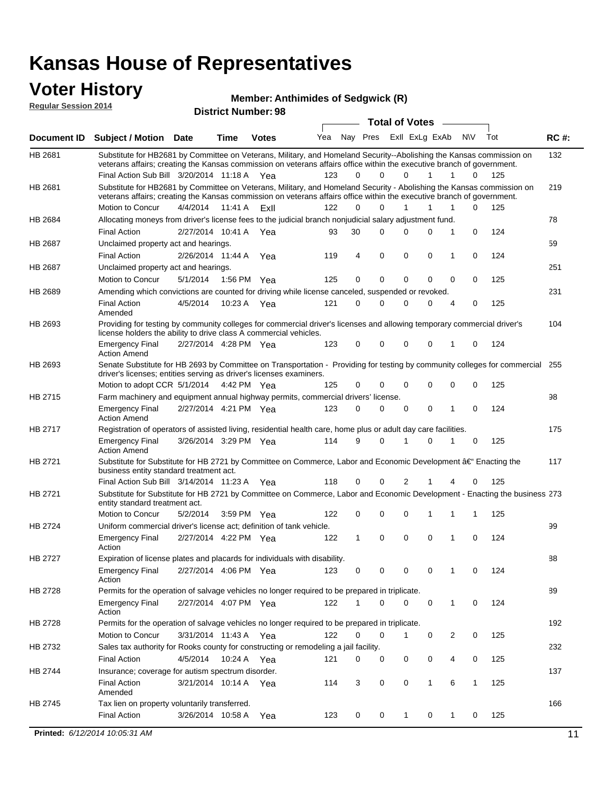### **Voter History**

**District Number: 98 Regular Session 2014**

**Member: Anthimides of Sedgwick (R)** 

|             |                                                                                                                                                                                                                                                 |                       |         |                          |                             |              | <b>Total of Votes</b> |             |             | $\sim$ |              |     |             |
|-------------|-------------------------------------------------------------------------------------------------------------------------------------------------------------------------------------------------------------------------------------------------|-----------------------|---------|--------------------------|-----------------------------|--------------|-----------------------|-------------|-------------|--------|--------------|-----|-------------|
| Document ID | <b>Subject / Motion Date</b>                                                                                                                                                                                                                    |                       | Time    | <b>Votes</b>             | Yea Nay Pres ExII ExLg ExAb |              |                       |             |             |        | N\V          | Tot | <b>RC#:</b> |
| HB 2681     | Substitute for HB2681 by Committee on Veterans, Military, and Homeland Security--Abolishing the Kansas commission on                                                                                                                            |                       |         |                          |                             |              |                       |             |             |        |              |     | 132         |
|             | veterans affairs; creating the Kansas commission on veterans affairs office within the executive branch of government.                                                                                                                          |                       |         |                          | 123                         | $\Omega$     | $\Omega$              | $\Omega$    | 1           | 1      | $\Omega$     |     |             |
|             | Final Action Sub Bill 3/20/2014 11:18 A Yea                                                                                                                                                                                                     |                       |         |                          |                             |              |                       |             |             |        |              | 125 |             |
| HB 2681     | Substitute for HB2681 by Committee on Veterans, Military, and Homeland Security - Abolishing the Kansas commission on<br>veterans affairs; creating the Kansas commission on veterans affairs office within the executive branch of government. |                       |         |                          |                             |              |                       |             |             |        |              |     | 219         |
|             | <b>Motion to Concur</b>                                                                                                                                                                                                                         | 4/4/2014              | 11:41 A | ExII                     | 122                         | 0            | 0                     | 1           | 1           | 1      | $\Omega$     | 125 |             |
| HB 2684     | Allocating moneys from driver's license fees to the judicial branch nonjudicial salary adjustment fund.                                                                                                                                         |                       |         |                          |                             |              |                       |             |             |        |              |     | 78          |
|             | <b>Final Action</b>                                                                                                                                                                                                                             | 2/27/2014 10:41 A Yea |         |                          | 93                          | 30           | $\Omega$              | 0           | $\Omega$    | 1      | 0            | 124 |             |
| HB 2687     | Unclaimed property act and hearings.                                                                                                                                                                                                            |                       |         |                          |                             |              |                       |             |             |        |              |     | 59          |
|             | <b>Final Action</b>                                                                                                                                                                                                                             | 2/26/2014 11:44 A     |         | Yea                      | 119                         | 4            | $\mathbf 0$           | 0           | $\mathbf 0$ | 1      | 0            | 124 |             |
| HB 2687     | Unclaimed property act and hearings.                                                                                                                                                                                                            |                       |         |                          |                             |              |                       |             |             |        |              |     | 251         |
|             | Motion to Concur                                                                                                                                                                                                                                | 5/1/2014              |         | 1:56 PM Yea              | 125                         | 0            | 0                     | 0           | 0           | 0      | $\Omega$     | 125 |             |
| HB 2689     | Amending which convictions are counted for driving while license canceled, suspended or revoked.                                                                                                                                                |                       |         |                          |                             |              |                       |             |             |        |              |     | 231         |
|             | <b>Final Action</b><br>Amended                                                                                                                                                                                                                  | 4/5/2014              |         | 10:23 A Yea              | 121                         | $\Omega$     | $\Omega$              | 0           | 0           | 4      | 0            | 125 |             |
| HB 2693     | Providing for testing by community colleges for commercial driver's licenses and allowing temporary commercial driver's<br>license holders the ability to drive class A commercial vehicles.                                                    |                       |         |                          |                             |              |                       |             |             |        |              |     | 104         |
|             | <b>Emergency Final</b><br><b>Action Amend</b>                                                                                                                                                                                                   | 2/27/2014 4:28 PM Yea |         |                          | 123                         | 0            | 0                     | $\mathbf 0$ | 0           | 1      | 0            | 124 |             |
| HB 2693     | Senate Substitute for HB 2693 by Committee on Transportation - Providing for testing by community colleges for commercial 255<br>driver's licenses; entities serving as driver's licenses examiners.                                            |                       |         |                          |                             |              |                       |             |             |        |              |     |             |
|             | Motion to adopt CCR 5/1/2014 4:42 PM Yea                                                                                                                                                                                                        |                       |         |                          | 125                         | $\mathbf 0$  | 0                     | 0           | 0           | 0      | 0            | 125 |             |
| HB 2715     | Farm machinery and equipment annual highway permits, commercial drivers' license.                                                                                                                                                               |                       |         |                          |                             |              |                       |             |             |        |              |     | 98          |
|             | <b>Emergency Final</b><br><b>Action Amend</b>                                                                                                                                                                                                   | 2/27/2014 4:21 PM Yea |         |                          | 123                         | $\Omega$     | 0                     | $\mathbf 0$ | 0           | 1      | $\Omega$     | 124 |             |
| HB 2717     | Registration of operators of assisted living, residential health care, home plus or adult day care facilities.                                                                                                                                  |                       |         |                          |                             |              |                       |             |             |        |              |     | 175         |
|             | <b>Emergency Final</b><br><b>Action Amend</b>                                                                                                                                                                                                   | 3/26/2014 3:29 PM Yea |         |                          | 114                         | 9            | $\Omega$              |             | 0           |        | 0            | 125 |             |
| HB 2721     | Substitute for Substitute for HB 2721 by Committee on Commerce, Labor and Economic Development †Enacting the                                                                                                                                    |                       |         |                          |                             |              |                       |             |             |        |              |     | 117         |
|             | business entity standard treatment act.<br>Final Action Sub Bill 3/14/2014 11:23 A Yea                                                                                                                                                          |                       |         |                          | 118                         | 0            | 0                     | 2           |             | 4      | 0            | 125 |             |
| HB 2721     | Substitute for Substitute for HB 2721 by Committee on Commerce, Labor and Economic Development - Enacting the business 273                                                                                                                      |                       |         |                          |                             |              |                       |             |             |        |              |     |             |
|             | entity standard treatment act.                                                                                                                                                                                                                  |                       |         |                          |                             |              |                       |             |             |        |              |     |             |
|             | Motion to Concur                                                                                                                                                                                                                                | 5/2/2014              |         | 3:59 PM Yea              | 122                         | 0            | 0                     | 0           | 1           | 1      | $\mathbf{1}$ | 125 |             |
| HB 2724     | Uniform commercial driver's license act; definition of tank vehicle.                                                                                                                                                                            |                       |         |                          |                             |              |                       |             |             |        |              |     | 99          |
|             | <b>Emergency Final</b><br>Action                                                                                                                                                                                                                | 2/27/2014 4:22 PM Yea |         |                          | 122                         | $\mathbf{1}$ | 0                     | 0           | $\mathbf 0$ | 1      | 0            | 124 |             |
| HB 2727     | Expiration of license plates and placards for individuals with disability.                                                                                                                                                                      |                       |         |                          |                             |              |                       |             |             |        |              |     | 88          |
|             | <b>Emergency Final</b><br>Action                                                                                                                                                                                                                | 2/27/2014 4:06 PM Yea |         |                          | 123                         | 0            | 0                     | $\mathbf 0$ | 0           | 1      | 0            | 124 |             |
| HB 2728     | Permits for the operation of salvage vehicles no longer required to be prepared in triplicate.                                                                                                                                                  |                       |         |                          |                             |              |                       |             |             |        |              |     | 89          |
|             | <b>Emergency Final</b><br>Action                                                                                                                                                                                                                | 2/27/2014 4:07 PM Yea |         |                          | 122                         | 1            | 0                     | 0           | 0           | 1      | 0            | 124 |             |
| HB 2728     | Permits for the operation of salvage vehicles no longer required to be prepared in triplicate.                                                                                                                                                  |                       |         |                          |                             |              |                       |             |             |        |              |     | 192         |
|             | Motion to Concur                                                                                                                                                                                                                                | 3/31/2014 11:43 A Yea |         |                          | 122                         | 0            | 0                     |             | 0           | 2      | 0            | 125 |             |
| HB 2732     | Sales tax authority for Rooks county for constructing or remodeling a jail facility.                                                                                                                                                            |                       |         |                          |                             |              |                       |             |             |        |              |     | 232         |
|             | <b>Final Action</b>                                                                                                                                                                                                                             | 4/5/2014              |         | 10:24 A Yea              | 121                         | 0            | 0                     | 0           | 0           | 4      | 0            | 125 |             |
| HB 2744     | Insurance; coverage for autism spectrum disorder.                                                                                                                                                                                               |                       |         |                          |                             |              |                       |             |             |        |              |     | 137         |
|             | <b>Final Action</b><br>Amended                                                                                                                                                                                                                  | 3/21/2014 10:14 A Yea |         |                          | 114                         | 3            | 0                     | 0           | 1           | 6      | 1            | 125 |             |
| HB 2745     | Tax lien on property voluntarily transferred.                                                                                                                                                                                                   |                       |         |                          |                             |              |                       |             |             |        |              |     | 166         |
|             |                                                                                                                                                                                                                                                 |                       |         | 3/26/2014 10:58 A<br>Yea |                             |              |                       |             |             |        |              |     |             |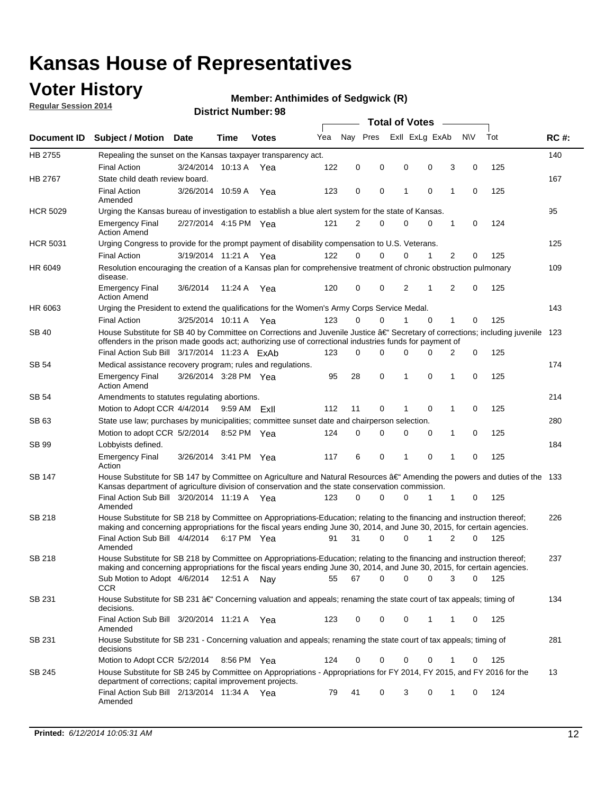### **Voter History**

**Regular Session 2014**

#### **Member: Anthimides of Sedgwick (R)**

|                 |                                                                                                                                                                                                                                                      |                       |              |              |     |             |          | <b>Total of Votes</b> |                |   |                  |       |             |
|-----------------|------------------------------------------------------------------------------------------------------------------------------------------------------------------------------------------------------------------------------------------------------|-----------------------|--------------|--------------|-----|-------------|----------|-----------------------|----------------|---|------------------|-------|-------------|
|                 | Document ID Subject / Motion Date                                                                                                                                                                                                                    |                       | Time         | <b>Votes</b> | Yea | Nav Pres    |          |                       | Exll ExLg ExAb |   | <b>NV</b>        | Tot   | <b>RC#:</b> |
| HB 2755         | Repealing the sunset on the Kansas taxpayer transparency act.                                                                                                                                                                                        |                       |              |              |     |             |          |                       |                |   |                  |       | 140         |
|                 | <b>Final Action</b>                                                                                                                                                                                                                                  | 3/24/2014 10:13 A     |              | Yea          | 122 | 0           | 0        | 0                     | 0              |   | 3<br>0           | 125   |             |
| <b>HB 2767</b>  | State child death review board.                                                                                                                                                                                                                      |                       |              |              |     |             |          |                       |                |   |                  |       | 167         |
|                 | <b>Final Action</b><br>Amended                                                                                                                                                                                                                       | 3/26/2014 10:59 A     |              | Yea          | 123 | 0           | 0        | 1                     | 0              | 1 | 0                | 125   |             |
| <b>HCR 5029</b> | Urging the Kansas bureau of investigation to establish a blue alert system for the state of Kansas.                                                                                                                                                  |                       |              |              |     |             |          |                       |                |   |                  |       | 95          |
|                 | <b>Emergency Final</b><br><b>Action Amend</b>                                                                                                                                                                                                        | 2/27/2014 4:15 PM Yea |              |              | 121 | 2           | 0        | 0                     | 0              | 1 | 0                | 124   |             |
| <b>HCR 5031</b> | Urging Congress to provide for the prompt payment of disability compensation to U.S. Veterans.                                                                                                                                                       |                       |              |              |     |             |          |                       |                |   |                  |       | 125         |
|                 | <b>Final Action</b>                                                                                                                                                                                                                                  | 3/19/2014 11:21 A Yea |              |              | 122 | $\Omega$    | $\Omega$ | 0                     | 1              |   | 2<br>0           | 125   |             |
| HR 6049         | Resolution encouraging the creation of a Kansas plan for comprehensive treatment of chronic obstruction pulmonary<br>disease.                                                                                                                        |                       |              |              |     |             |          |                       |                |   |                  |       | 109         |
|                 | <b>Emergency Final</b><br><b>Action Amend</b>                                                                                                                                                                                                        | 3/6/2014              | 11:24 A      | Yea          | 120 | 0           | 0        | 2                     | 1              |   | 2<br>$\mathbf 0$ | 125   |             |
| HR 6063         | Urging the President to extend the qualifications for the Women's Army Corps Service Medal.                                                                                                                                                          |                       |              |              |     |             |          |                       |                |   |                  |       | 143         |
|                 | <b>Final Action</b>                                                                                                                                                                                                                                  | 3/25/2014 10:11 A Yea |              |              | 123 | $\Omega$    | 0        | 1                     | $\Omega$       | 1 | 0                | 125   |             |
| SB 40           | House Substitute for SB 40 by Committee on Corrections and Juvenile Justice †Secretary of corrections; including juvenile<br>offenders in the prison made goods act; authorizing use of correctional industries funds for payment of                 |                       |              |              |     |             |          |                       |                |   |                  |       | 123         |
|                 | Final Action Sub Bill 3/17/2014 11:23 A ExAb                                                                                                                                                                                                         |                       |              |              | 123 | $\Omega$    | 0        | 0                     | 0              |   | 0<br>2           | 125   |             |
| SB 54           | Medical assistance recovery program; rules and regulations.                                                                                                                                                                                          |                       |              |              |     |             |          |                       |                |   |                  |       | 174         |
|                 | <b>Emergency Final</b><br><b>Action Amend</b>                                                                                                                                                                                                        | 3/26/2014 3:28 PM Yea |              |              | 95  | 28          | 0        | 1                     | 0              | 1 | 0                | 125   |             |
| SB 54           | Amendments to statutes regulating abortions.                                                                                                                                                                                                         |                       |              |              |     |             |          |                       |                |   |                  |       | 214         |
|                 | Motion to Adopt CCR 4/4/2014                                                                                                                                                                                                                         |                       | 9:59 AM ExII |              | 112 | 11          | 0        |                       | 0              | 1 | 0                | 125   |             |
| SB 63           | State use law; purchases by municipalities; committee sunset date and chairperson selection.                                                                                                                                                         |                       |              |              |     |             |          |                       |                |   |                  |       | 280         |
|                 | Motion to adopt CCR 5/2/2014                                                                                                                                                                                                                         |                       | 8:52 PM Yea  |              | 124 | $\mathbf 0$ | 0        | 0                     | 0              | 1 | 0                | 125   |             |
| SB 99           | Lobbyists defined.                                                                                                                                                                                                                                   |                       |              |              |     |             |          |                       |                |   |                  |       | 184         |
|                 | <b>Emergency Final</b><br>Action                                                                                                                                                                                                                     | 3/26/2014 3:41 PM Yea |              |              | 117 | 6           | 0        | 1                     | 0              | 1 | $\mathbf 0$      | 125   |             |
| SB 147          | House Substitute for SB 147 by Committee on Agriculture and Natural Resources †Amending the powers and duties of the 133<br>Kansas department of agriculture division of conservation and the state conservation commission.                         |                       |              |              |     |             |          |                       |                |   |                  |       |             |
|                 | Final Action Sub Bill 3/20/2014 11:19 A Yea<br>Amended                                                                                                                                                                                               |                       |              |              | 123 | 0           | 0        | 0                     | 1              | 1 | 0                | 125   |             |
| <b>SB 218</b>   | House Substitute for SB 218 by Committee on Appropriations-Education; relating to the financing and instruction thereof;<br>making and concerning appropriations for the fiscal years ending June 30, 2014, and June 30, 2015, for certain agencies. |                       |              |              |     |             |          |                       |                |   |                  |       | 226         |
|                 | Final Action Sub Bill 4/4/2014 6:17 PM Yea                                                                                                                                                                                                           |                       |              |              | 91  | 31          | $\Omega$ | 0                     | 1              |   | 2<br>$\Omega$    | 125   |             |
|                 | Amended                                                                                                                                                                                                                                              |                       |              |              |     |             |          |                       |                |   |                  |       |             |
| SB 218          | House Substitute for SB 218 by Committee on Appropriations-Education; relating to the financing and instruction thereof;                                                                                                                             |                       |              |              |     |             |          |                       |                |   |                  |       | 237         |
|                 | making and concerning appropriations for the fiscal years ending June 30, 2014, and June 30, 2015, for certain agencies.                                                                                                                             |                       |              |              |     |             |          |                       |                |   |                  |       |             |
|                 | Sub Motion to Adopt 4/6/2014 12:51 A Nay                                                                                                                                                                                                             |                       |              |              | 55  | 67          | 0        | 0                     | 0              |   | 3<br>0           | - 125 |             |
| SB 231          | CCR<br>House Substitute for SB 231 †Concerning valuation and appeals; renaming the state court of tax appeals; timing of<br>decisions.                                                                                                               |                       |              |              |     |             |          |                       |                |   |                  |       | 134         |
|                 | Final Action Sub Bill 3/20/2014 11:21 A Yea                                                                                                                                                                                                          |                       |              |              | 123 | 0           | 0        | 0                     | 1              | 1 | 0                | 125   |             |
| SB 231          | Amended<br>House Substitute for SB 231 - Concerning valuation and appeals; renaming the state court of tax appeals; timing of                                                                                                                        |                       |              |              |     |             |          |                       |                |   |                  |       | 281         |
|                 | decisions                                                                                                                                                                                                                                            |                       |              |              |     |             |          |                       |                |   |                  |       |             |
|                 | Motion to Adopt CCR 5/2/2014 8:56 PM Yea                                                                                                                                                                                                             |                       |              |              | 124 | 0           | 0        | 0                     | 0              | 1 | 0                | 125   | 13          |
| SB 245          | House Substitute for SB 245 by Committee on Appropriations - Appropriations for FY 2014, FY 2015, and FY 2016 for the<br>department of corrections; capital improvement projects.                                                                    |                       |              |              |     |             |          |                       |                |   |                  |       |             |
|                 | Final Action Sub Bill 2/13/2014 11:34 A Yea<br>Amended                                                                                                                                                                                               |                       |              |              | 79  | 41          | 0        | 3                     | 0              | 1 | 0                | 124   |             |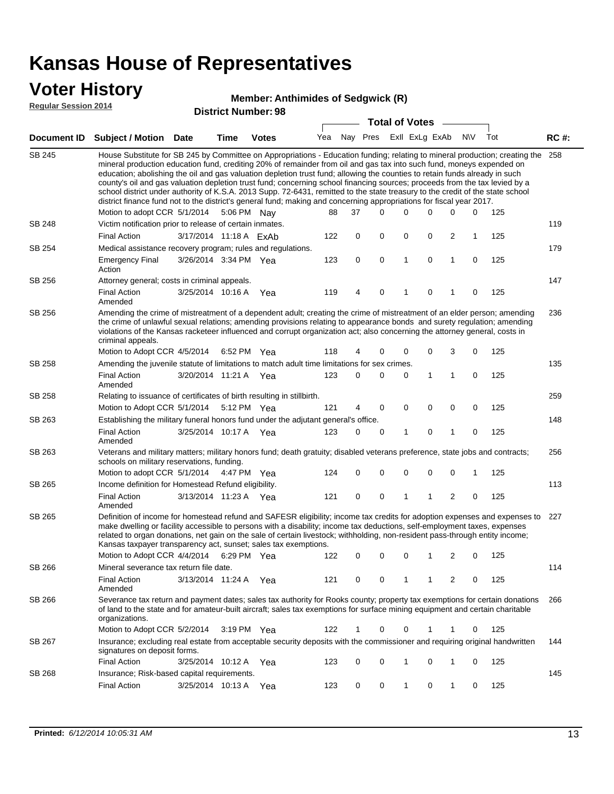### **Voter History**

#### **Member: Anthimides of Sedgwick (R)**

**Regular Session 2014**

|               | <b>Total of Votes</b>                                                                                                                                                                                                                                                                                                                                                                                                                                                                                                                                                                                                                                                                                                                                                         |                        |      |              |     |    |          |              |                |             |                |             |     |             |  |  |  |  |  |  |  |  |
|---------------|-------------------------------------------------------------------------------------------------------------------------------------------------------------------------------------------------------------------------------------------------------------------------------------------------------------------------------------------------------------------------------------------------------------------------------------------------------------------------------------------------------------------------------------------------------------------------------------------------------------------------------------------------------------------------------------------------------------------------------------------------------------------------------|------------------------|------|--------------|-----|----|----------|--------------|----------------|-------------|----------------|-------------|-----|-------------|--|--|--|--|--|--|--|--|
|               | Document ID Subject / Motion Date                                                                                                                                                                                                                                                                                                                                                                                                                                                                                                                                                                                                                                                                                                                                             |                        | Time | <b>Votes</b> | Yea |    | Nay Pres |              | Exll ExLg ExAb |             |                | <b>NV</b>   | Tot | <b>RC#:</b> |  |  |  |  |  |  |  |  |
| SB 245        | House Substitute for SB 245 by Committee on Appropriations - Education funding; relating to mineral production; creating the<br>mineral production education fund, crediting 20% of remainder from oil and gas tax into such fund, moneys expended on<br>education; abolishing the oil and gas valuation depletion trust fund; allowing the counties to retain funds already in such<br>county's oil and gas valuation depletion trust fund; concerning school financing sources; proceeds from the tax levied by a<br>school district under authority of K.S.A. 2013 Supp. 72-6431, remitted to the state treasury to the credit of the state school<br>district finance fund not to the district's general fund; making and concerning appropriations for fiscal year 2017. |                        |      |              |     |    |          |              |                |             |                |             |     | 258         |  |  |  |  |  |  |  |  |
|               | Motion to adopt CCR 5/1/2014                                                                                                                                                                                                                                                                                                                                                                                                                                                                                                                                                                                                                                                                                                                                                  |                        |      | 5:06 PM Nay  | 88  | 37 | 0        | $\Omega$     |                | 0           | 0              | 0           | 125 |             |  |  |  |  |  |  |  |  |
| <b>SB 248</b> | Victim notification prior to release of certain inmates.                                                                                                                                                                                                                                                                                                                                                                                                                                                                                                                                                                                                                                                                                                                      |                        |      |              |     |    |          |              |                |             |                |             |     | 119         |  |  |  |  |  |  |  |  |
|               | <b>Final Action</b>                                                                                                                                                                                                                                                                                                                                                                                                                                                                                                                                                                                                                                                                                                                                                           | 3/17/2014 11:18 A ExAb |      |              | 122 | 0  | 0        | 0            |                | 0           | $\overline{c}$ | 1           | 125 |             |  |  |  |  |  |  |  |  |
| SB 254        | Medical assistance recovery program; rules and regulations.                                                                                                                                                                                                                                                                                                                                                                                                                                                                                                                                                                                                                                                                                                                   |                        |      |              |     |    |          |              |                |             |                |             |     | 179         |  |  |  |  |  |  |  |  |
|               | <b>Emergency Final</b><br>Action                                                                                                                                                                                                                                                                                                                                                                                                                                                                                                                                                                                                                                                                                                                                              | 3/26/2014 3:34 PM Yea  |      |              | 123 | 0  | 0        | $\mathbf{1}$ |                | 0           | 1              | 0           | 125 |             |  |  |  |  |  |  |  |  |
| SB 256        | Attorney general; costs in criminal appeals.                                                                                                                                                                                                                                                                                                                                                                                                                                                                                                                                                                                                                                                                                                                                  |                        |      |              |     |    |          |              |                |             |                |             |     | 147         |  |  |  |  |  |  |  |  |
|               | <b>Final Action</b><br>Amended                                                                                                                                                                                                                                                                                                                                                                                                                                                                                                                                                                                                                                                                                                                                                | 3/25/2014 10:16 A      |      | Yea          | 119 | 4  | 0        | 1            |                | 0           | 1              | 0           | 125 |             |  |  |  |  |  |  |  |  |
| SB 256        | Amending the crime of mistreatment of a dependent adult; creating the crime of mistreatment of an elder person; amending<br>the crime of unlawful sexual relations; amending provisions relating to appearance bonds and surety regulation; amending<br>violations of the Kansas racketeer influenced and corrupt organization act; also concerning the attorney general, costs in<br>criminal appeals.                                                                                                                                                                                                                                                                                                                                                                       |                        |      |              |     |    |          |              |                |             |                |             |     | 236         |  |  |  |  |  |  |  |  |
|               | Motion to Adopt CCR 4/5/2014                                                                                                                                                                                                                                                                                                                                                                                                                                                                                                                                                                                                                                                                                                                                                  |                        |      | 6:52 PM Yea  | 118 | 4  | 0        | 0            |                | 0           | 3              | 0           | 125 |             |  |  |  |  |  |  |  |  |
| SB 258        | Amending the juvenile statute of limitations to match adult time limitations for sex crimes.                                                                                                                                                                                                                                                                                                                                                                                                                                                                                                                                                                                                                                                                                  |                        |      |              |     |    |          |              |                |             |                |             |     | 135         |  |  |  |  |  |  |  |  |
|               | <b>Final Action</b><br>Amended                                                                                                                                                                                                                                                                                                                                                                                                                                                                                                                                                                                                                                                                                                                                                | 3/20/2014 11:21 A Yea  |      |              | 123 | 0  | 0        | 0            |                | 1           | $\mathbf{1}$   | 0           | 125 |             |  |  |  |  |  |  |  |  |
| SB 258        | Relating to issuance of certificates of birth resulting in stillbirth.                                                                                                                                                                                                                                                                                                                                                                                                                                                                                                                                                                                                                                                                                                        |                        |      |              |     |    |          |              |                |             |                | 259         |     |             |  |  |  |  |  |  |  |  |
|               | Motion to Adopt CCR 5/1/2014                                                                                                                                                                                                                                                                                                                                                                                                                                                                                                                                                                                                                                                                                                                                                  |                        |      | 5:12 PM Yea  | 121 | 4  | 0        | 0            |                | $\mathbf 0$ | 0              | 0           | 125 |             |  |  |  |  |  |  |  |  |
| SB 263        | Establishing the military funeral honors fund under the adjutant general's office.                                                                                                                                                                                                                                                                                                                                                                                                                                                                                                                                                                                                                                                                                            |                        |      |              |     |    |          |              |                |             |                |             |     | 148         |  |  |  |  |  |  |  |  |
|               | <b>Final Action</b><br>Amended                                                                                                                                                                                                                                                                                                                                                                                                                                                                                                                                                                                                                                                                                                                                                | 3/25/2014 10:17 A Yea  |      |              | 123 | 0  | 0        | 1            |                | 0           | 1              | 0           | 125 |             |  |  |  |  |  |  |  |  |
| SB 263        | Veterans and military matters; military honors fund; death gratuity; disabled veterans preference, state jobs and contracts;<br>schools on military reservations, funding.                                                                                                                                                                                                                                                                                                                                                                                                                                                                                                                                                                                                    |                        |      |              |     |    |          |              |                |             |                |             |     | 256         |  |  |  |  |  |  |  |  |
|               | Motion to adopt CCR 5/1/2014                                                                                                                                                                                                                                                                                                                                                                                                                                                                                                                                                                                                                                                                                                                                                  |                        |      | 4:47 PM Yea  | 124 | 0  | 0        | 0            |                | 0           | 0              | 1           | 125 |             |  |  |  |  |  |  |  |  |
| SB 265        | Income definition for Homestead Refund eligibility.                                                                                                                                                                                                                                                                                                                                                                                                                                                                                                                                                                                                                                                                                                                           |                        |      |              |     |    |          |              |                |             |                |             |     | 113         |  |  |  |  |  |  |  |  |
|               | <b>Final Action</b><br>Amended                                                                                                                                                                                                                                                                                                                                                                                                                                                                                                                                                                                                                                                                                                                                                | 3/13/2014 11:23 A Yea  |      |              | 121 | 0  | 0        | 1            |                | 1           | $\overline{2}$ | $\mathbf 0$ | 125 |             |  |  |  |  |  |  |  |  |
| SB 265        | Definition of income for homestead refund and SAFESR eligibility; income tax credits for adoption expenses and expenses to<br>make dwelling or facility accessible to persons with a disability; income tax deductions, self-employment taxes, expenses<br>related to organ donations, net gain on the sale of certain livestock; withholding, non-resident pass-through entity income;<br>Kansas taxpayer transparency act, sunset; sales tax exemptions.                                                                                                                                                                                                                                                                                                                    |                        |      |              |     |    |          |              |                |             |                |             |     | 227         |  |  |  |  |  |  |  |  |
|               | Motion to Adopt CCR 4/4/2014 6:29 PM Yea                                                                                                                                                                                                                                                                                                                                                                                                                                                                                                                                                                                                                                                                                                                                      |                        |      |              | 122 | 0  | 0        | 0            |                | 1           | 2              | 0           | 125 |             |  |  |  |  |  |  |  |  |
| SB 266        | Mineral severance tax return file date.                                                                                                                                                                                                                                                                                                                                                                                                                                                                                                                                                                                                                                                                                                                                       |                        |      |              |     |    |          |              |                |             |                |             |     | 114         |  |  |  |  |  |  |  |  |
|               | <b>Final Action</b><br>Amended                                                                                                                                                                                                                                                                                                                                                                                                                                                                                                                                                                                                                                                                                                                                                | 3/13/2014 11:24 A Yea  |      |              | 121 | 0  | 0        | 1            |                | 1           | 2              | 0           | 125 |             |  |  |  |  |  |  |  |  |
| SB 266        | Severance tax return and payment dates; sales tax authority for Rooks county; property tax exemptions for certain donations<br>of land to the state and for amateur-built aircraft; sales tax exemptions for surface mining equipment and certain charitable<br>organizations.                                                                                                                                                                                                                                                                                                                                                                                                                                                                                                |                        |      |              |     |    |          |              |                |             |                |             |     | 266         |  |  |  |  |  |  |  |  |
|               | Motion to Adopt CCR 5/2/2014                                                                                                                                                                                                                                                                                                                                                                                                                                                                                                                                                                                                                                                                                                                                                  |                        |      | 3:19 PM Yea  | 122 | 1  | 0        | 0            |                | 1           | 1              | 0           | 125 |             |  |  |  |  |  |  |  |  |
| SB 267        | Insurance; excluding real estate from acceptable security deposits with the commissioner and requiring original handwritten<br>signatures on deposit forms.                                                                                                                                                                                                                                                                                                                                                                                                                                                                                                                                                                                                                   |                        |      |              |     |    |          |              |                |             |                |             |     | 144         |  |  |  |  |  |  |  |  |
|               | <b>Final Action</b>                                                                                                                                                                                                                                                                                                                                                                                                                                                                                                                                                                                                                                                                                                                                                           | 3/25/2014 10:12 A Yea  |      |              | 123 | 0  | 0        | 1            |                | 0           | 1              | 0           | 125 |             |  |  |  |  |  |  |  |  |
| SB 268        | Insurance; Risk-based capital requirements.                                                                                                                                                                                                                                                                                                                                                                                                                                                                                                                                                                                                                                                                                                                                   |                        |      |              |     |    |          |              |                |             |                |             |     | 145         |  |  |  |  |  |  |  |  |
|               | Final Action                                                                                                                                                                                                                                                                                                                                                                                                                                                                                                                                                                                                                                                                                                                                                                  | 3/25/2014 10:13 A      |      | Yea          | 123 | 0  | 0        | 1            |                | 0           | 1              | 0           | 125 |             |  |  |  |  |  |  |  |  |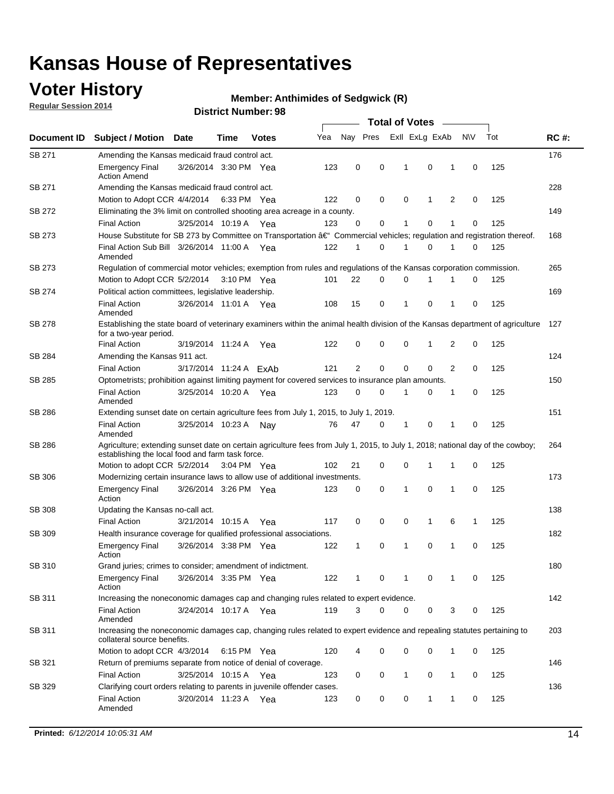### **Voter History**

**Regular Session 2014**

#### **Member: Anthimides of Sedgwick (R)**

|               |                                                                                                                                                                                    |                        |      |              | <b>Total of Votes</b> |    |          |   |                |             |                |             |     |             |  |  |  |  |  |  |  |
|---------------|------------------------------------------------------------------------------------------------------------------------------------------------------------------------------------|------------------------|------|--------------|-----------------------|----|----------|---|----------------|-------------|----------------|-------------|-----|-------------|--|--|--|--|--|--|--|
| Document ID   | <b>Subject / Motion Date</b>                                                                                                                                                       |                        | Time | <b>Votes</b> | Yea                   |    | Nay Pres |   | Exll ExLg ExAb |             |                | <b>NV</b>   | Tot | <b>RC#:</b> |  |  |  |  |  |  |  |
| SB 271        | Amending the Kansas medicaid fraud control act.                                                                                                                                    |                        |      |              |                       |    |          |   |                |             |                |             |     | 176         |  |  |  |  |  |  |  |
|               | <b>Emergency Final</b><br><b>Action Amend</b>                                                                                                                                      | 3/26/2014 3:30 PM Yea  |      |              | 123                   | 0  | 0        |   | 1              | 0           | 1              | 0           | 125 |             |  |  |  |  |  |  |  |
| SB 271        | Amending the Kansas medicaid fraud control act.                                                                                                                                    |                        |      |              |                       |    |          |   |                |             |                |             |     | 228         |  |  |  |  |  |  |  |
|               | Motion to Adopt CCR 4/4/2014 6:33 PM Yea                                                                                                                                           |                        |      |              | 122                   | 0  | 0        |   | 0              | 1           | 2              | 0           | 125 |             |  |  |  |  |  |  |  |
| SB 272        | Eliminating the 3% limit on controlled shooting area acreage in a county.                                                                                                          |                        |      |              |                       |    |          |   |                |             |                |             |     | 149         |  |  |  |  |  |  |  |
|               | <b>Final Action</b>                                                                                                                                                                | 3/25/2014 10:19 A Yea  |      |              | 123                   | 0  | 0        |   | 1              | 0           | 1              | 0           | 125 |             |  |  |  |  |  |  |  |
| SB 273        | House Substitute for SB 273 by Committee on Transportation †Commercial vehicles; regulation and registration thereof.                                                              |                        |      |              |                       |    |          |   |                |             |                |             |     | 168         |  |  |  |  |  |  |  |
|               | Final Action Sub Bill 3/26/2014 11:00 A Yea<br>Amended                                                                                                                             |                        |      |              | 122                   | 1  | 0        |   | -1             | 0           | 1              | 0           | 125 |             |  |  |  |  |  |  |  |
| SB 273        | Regulation of commercial motor vehicles; exemption from rules and regulations of the Kansas corporation commission.                                                                |                        |      |              |                       |    |          |   |                |             |                |             |     | 265         |  |  |  |  |  |  |  |
|               | Motion to Adopt CCR 5/2/2014 3:10 PM Yea<br>22<br>0<br>0<br>0<br>125<br>101<br>1<br>1                                                                                              |                        |      |              |                       |    |          |   |                |             |                |             |     |             |  |  |  |  |  |  |  |
| SB 274        | Political action committees, legislative leadership.                                                                                                                               |                        |      |              |                       |    |          |   |                |             |                |             | 169 |             |  |  |  |  |  |  |  |
|               | <b>Final Action</b><br>Amended                                                                                                                                                     | 3/26/2014 11:01 A Yea  |      |              | 108                   | 15 | 0        |   | -1             | 0           | 1              | 0           | 125 |             |  |  |  |  |  |  |  |
| SB 278        | Establishing the state board of veterinary examiners within the animal health division of the Kansas department of agriculture<br>for a two-year period.                           |                        |      |              |                       |    |          |   |                |             |                |             |     | 127         |  |  |  |  |  |  |  |
|               | <b>Final Action</b>                                                                                                                                                                | 3/19/2014 11:24 A      |      | Yea          | 122                   | 0  | 0        |   | 0              | 1           | 2              | 0           | 125 |             |  |  |  |  |  |  |  |
| SB 284        | Amending the Kansas 911 act.                                                                                                                                                       |                        |      |              |                       |    |          |   |                |             |                |             |     | 124         |  |  |  |  |  |  |  |
|               | <b>Final Action</b>                                                                                                                                                                | 3/17/2014 11:24 A ExAb |      |              | 121                   | 2  | 0        |   | 0              | $\mathbf 0$ | $\overline{2}$ | 0           | 125 |             |  |  |  |  |  |  |  |
| SB 285        | Optometrists; prohibition against limiting payment for covered services to insurance plan amounts.                                                                                 |                        |      |              |                       |    |          |   |                |             |                |             |     | 150         |  |  |  |  |  |  |  |
|               | <b>Final Action</b><br>Amended                                                                                                                                                     | 3/25/2014 10:20 A Yea  |      |              | 123                   | 0  | 0        |   | $\mathbf 1$    | 0           | 1              | 0           | 125 |             |  |  |  |  |  |  |  |
| SB 286        | Extending sunset date on certain agriculture fees from July 1, 2015, to July 1, 2019.                                                                                              |                        |      |              |                       |    |          |   |                |             |                |             |     | 151         |  |  |  |  |  |  |  |
|               | <b>Final Action</b><br>Amended                                                                                                                                                     | 3/25/2014 10:23 A      |      | Nay          | 76                    | 47 | 0        |   | $\mathbf{1}$   | 0           | 1              | $\mathbf 0$ | 125 |             |  |  |  |  |  |  |  |
| SB 286        | Agriculture; extending sunset date on certain agriculture fees from July 1, 2015, to July 1, 2018; national day of the cowboy;<br>establishing the local food and farm task force. |                        |      |              |                       |    |          |   |                |             |                |             |     | 264         |  |  |  |  |  |  |  |
|               | Motion to adopt CCR 5/2/2014 3:04 PM Yea                                                                                                                                           |                        |      |              | 102                   | 21 |          | 0 | 0              | $\mathbf 1$ | 1              | 0           | 125 |             |  |  |  |  |  |  |  |
| SB 306        | Modernizing certain insurance laws to allow use of additional investments.                                                                                                         |                        |      |              |                       |    |          |   |                |             |                |             |     | 173         |  |  |  |  |  |  |  |
|               | <b>Emergency Final</b><br>Action                                                                                                                                                   | 3/26/2014 3:26 PM Yea  |      |              | 123                   | 0  | 0        |   | 1              | $\mathbf 0$ | 1              | 0           | 125 |             |  |  |  |  |  |  |  |
| <b>SB 308</b> | Updating the Kansas no-call act.                                                                                                                                                   |                        |      |              |                       |    |          |   |                |             |                |             |     | 138         |  |  |  |  |  |  |  |
|               | <b>Final Action</b>                                                                                                                                                                | 3/21/2014 10:15 A      |      | Yea          | 117                   | 0  | 0        |   | 0              | 1           | 6              | 1           | 125 |             |  |  |  |  |  |  |  |
| SB 309        | Health insurance coverage for qualified professional associations.                                                                                                                 |                        |      |              |                       |    |          |   |                |             |                |             |     | 182         |  |  |  |  |  |  |  |
|               | <b>Emergency Final</b><br>Action                                                                                                                                                   | 3/26/2014 3:38 PM Yea  |      |              | 122                   | 1  | 0        |   | $\mathbf{1}$   | 0           | 1              | $\mathbf 0$ | 125 |             |  |  |  |  |  |  |  |
| SB 310        | Grand juries; crimes to consider; amendment of indictment.                                                                                                                         |                        |      |              |                       |    |          |   |                |             |                |             |     | 180         |  |  |  |  |  |  |  |
|               | <b>Emergency Final</b><br>Action                                                                                                                                                   | 3/26/2014 3:35 PM Yea  |      |              | 122                   | 1  | 0        |   | 1              | 0           | 1              | 0           | 125 |             |  |  |  |  |  |  |  |
| SB 311        | Increasing the noneconomic damages cap and changing rules related to expert evidence.                                                                                              |                        |      |              |                       |    |          |   |                |             |                |             |     | 142         |  |  |  |  |  |  |  |
|               | <b>Final Action</b><br>Amended                                                                                                                                                     | 3/24/2014 10:17 A Yea  |      |              | 119                   | 3  | 0        |   | 0              | 0           | 3              | 0           | 125 |             |  |  |  |  |  |  |  |
| SB 311        | Increasing the noneconomic damages cap, changing rules related to expert evidence and repealing statutes pertaining to<br>collateral source benefits.                              |                        |      |              |                       |    |          |   |                |             |                |             |     | 203         |  |  |  |  |  |  |  |
|               | Motion to adopt CCR 4/3/2014 6:15 PM Yea                                                                                                                                           |                        |      |              | 120                   | 4  | 0        |   | 0              | 0           | 1              | 0           | 125 |             |  |  |  |  |  |  |  |
| SB 321        | Return of premiums separate from notice of denial of coverage.                                                                                                                     |                        |      |              |                       |    |          |   |                |             |                |             |     | 146         |  |  |  |  |  |  |  |
|               | <b>Final Action</b>                                                                                                                                                                | 3/25/2014 10:15 A Yea  |      |              | 123                   | 0  |          | 0 | 1              | 0           | 1              | 0           | 125 |             |  |  |  |  |  |  |  |
| SB 329        | Clarifying court orders relating to parents in juvenile offender cases.<br><b>Final Action</b>                                                                                     | 3/20/2014 11:23 A Yea  |      |              | 123                   | 0  |          | 0 | 0              | 1           | 1              | 0           | 125 | 136         |  |  |  |  |  |  |  |
|               | Amended                                                                                                                                                                            |                        |      |              |                       |    |          |   |                |             |                |             |     |             |  |  |  |  |  |  |  |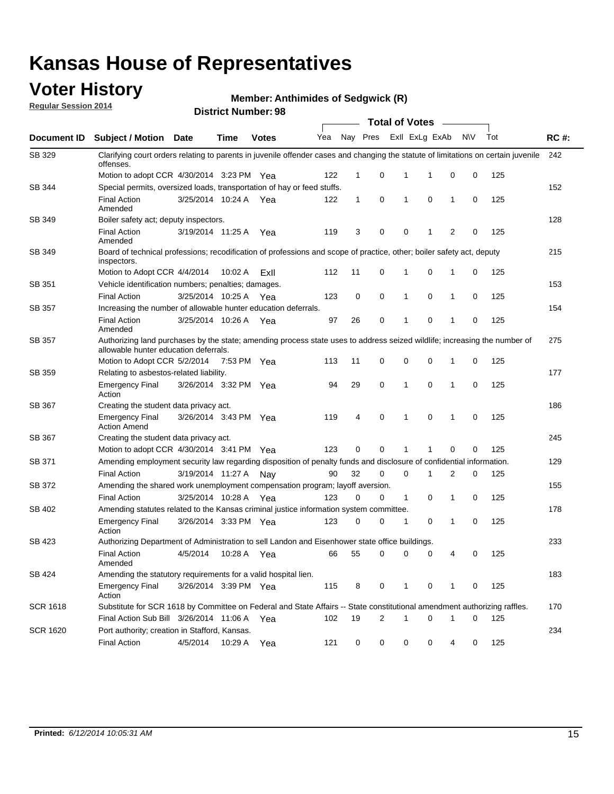### **Voter History**

**Regular Session 2014**

**Member: Anthimides of Sedgwick (R)** 

|                 | <b>Total of Votes</b>                                                                                                                                              |                       |             |              |     |          |                |              |                |                |             |     |             |  |  |  |  |  |  |  |
|-----------------|--------------------------------------------------------------------------------------------------------------------------------------------------------------------|-----------------------|-------------|--------------|-----|----------|----------------|--------------|----------------|----------------|-------------|-----|-------------|--|--|--|--|--|--|--|
| Document ID     | <b>Subject / Motion</b>                                                                                                                                            | Date                  | Time        | <b>Votes</b> | Yea | Nay Pres |                |              | Exll ExLg ExAb |                | <b>NV</b>   | Tot | <b>RC#:</b> |  |  |  |  |  |  |  |
| SB 329          | Clarifying court orders relating to parents in juvenile offender cases and changing the statute of limitations on certain juvenile<br>offenses.                    |                       |             |              |     |          |                |              |                |                |             |     | 242         |  |  |  |  |  |  |  |
|                 | Motion to adopt CCR 4/30/2014 3:23 PM Yea                                                                                                                          |                       |             |              | 122 | 1        | 0              | 1            | 1              | 0              | 0           | 125 |             |  |  |  |  |  |  |  |
| SB 344          | Special permits, oversized loads, transportation of hay or feed stuffs.                                                                                            |                       |             |              |     |          |                |              |                |                |             |     | 152         |  |  |  |  |  |  |  |
|                 | <b>Final Action</b><br>Amended                                                                                                                                     | 3/25/2014 10:24 A     |             | Yea          | 122 | 1        | 0              | 1            | 0              | 1              | 0           | 125 |             |  |  |  |  |  |  |  |
| SB 349          | Boiler safety act; deputy inspectors.                                                                                                                              |                       |             |              |     |          |                |              |                |                |             |     | 128         |  |  |  |  |  |  |  |
|                 | <b>Final Action</b><br>Amended                                                                                                                                     | 3/19/2014 11:25 A     |             | Yea          | 119 | 3        | 0              | 0            | 1              | $\overline{2}$ | $\mathbf 0$ | 125 |             |  |  |  |  |  |  |  |
| SB 349          | Board of technical professions; recodification of professions and scope of practice, other; boiler safety act, deputy<br>inspectors.                               |                       |             |              |     |          |                |              |                |                |             |     | 215         |  |  |  |  |  |  |  |
|                 | Motion to Adopt CCR 4/4/2014                                                                                                                                       |                       | 10:02 A     | ExII         | 112 | 11       | 0              | 1            | 0              | 1              | 0           | 125 |             |  |  |  |  |  |  |  |
| SB 351          | Vehicle identification numbers; penalties; damages.                                                                                                                |                       |             |              |     |          |                |              |                |                |             |     | 153         |  |  |  |  |  |  |  |
|                 | <b>Final Action</b>                                                                                                                                                | 3/25/2014 10:25 A     |             | Yea          | 123 | 0        | 0              | 1            | 0              | 1              | 0           | 125 |             |  |  |  |  |  |  |  |
| SB 357          | Increasing the number of allowable hunter education deferrals.                                                                                                     |                       |             |              |     |          |                |              |                |                |             | 154 |             |  |  |  |  |  |  |  |
|                 | <b>Final Action</b><br>Amended                                                                                                                                     | 3/25/2014 10:26 A     |             | Yea          | 97  | 26       | 0              | 1            | 0              | 1              | 0           | 125 |             |  |  |  |  |  |  |  |
| <b>SB 357</b>   | Authorizing land purchases by the state; amending process state uses to address seized wildlife; increasing the number of<br>allowable hunter education deferrals. |                       |             |              |     |          |                |              |                |                |             |     | 275         |  |  |  |  |  |  |  |
|                 | Motion to Adopt CCR 5/2/2014                                                                                                                                       |                       | 7:53 PM Yea |              | 113 | 11       | 0              | 0            | 0              | 1              | 0           | 125 |             |  |  |  |  |  |  |  |
| SB 359          | Relating to asbestos-related liability.                                                                                                                            |                       |             |              |     |          |                |              |                |                | 177         |     |             |  |  |  |  |  |  |  |
|                 | <b>Emergency Final</b><br>Action                                                                                                                                   | 3/26/2014 3:32 PM Yea |             |              | 94  | 29       | $\mathbf 0$    | 1            | 0              | $\mathbf 1$    | 0           | 125 |             |  |  |  |  |  |  |  |
| <b>SB 367</b>   | Creating the student data privacy act.                                                                                                                             |                       |             |              |     |          |                |              |                |                |             |     | 186         |  |  |  |  |  |  |  |
|                 | <b>Emergency Final</b><br><b>Action Amend</b>                                                                                                                      | 3/26/2014 3:43 PM Yea |             |              | 119 | 4        | 0              | 1            | $\mathbf 0$    | 1              | 0           | 125 |             |  |  |  |  |  |  |  |
| SB 367          | Creating the student data privacy act.                                                                                                                             |                       |             |              |     |          |                |              |                |                |             |     | 245         |  |  |  |  |  |  |  |
|                 | Motion to adopt CCR 4/30/2014 3:41 PM Yea                                                                                                                          |                       |             |              | 123 | 0        | 0              | 1            | 1              | $\mathbf 0$    | 0           | 125 |             |  |  |  |  |  |  |  |
| SB 371          | Amending employment security law regarding disposition of penalty funds and disclosure of confidential information.                                                |                       |             |              |     |          |                |              |                |                |             |     | 129         |  |  |  |  |  |  |  |
|                 | <b>Final Action</b>                                                                                                                                                | 3/19/2014 11:27 A     |             | Nay          | 90  | 32       | 0              | 0            | 1              | 2              | 0           | 125 |             |  |  |  |  |  |  |  |
| SB 372          | Amending the shared work unemployment compensation program; layoff aversion.                                                                                       |                       |             |              |     |          |                |              |                |                |             |     | 155         |  |  |  |  |  |  |  |
|                 | <b>Final Action</b>                                                                                                                                                | 3/25/2014 10:28 A     |             | Yea          | 123 | 0        | 0              | $\mathbf{1}$ | 0              | 1              | 0           | 125 |             |  |  |  |  |  |  |  |
| SB 402          | Amending statutes related to the Kansas criminal justice information system committee.                                                                             |                       |             |              |     |          |                |              |                |                |             |     | 178         |  |  |  |  |  |  |  |
|                 | <b>Emergency Final</b><br>Action                                                                                                                                   | 3/26/2014 3:33 PM     |             | Yea          | 123 | 0        | 0              | 1            | 0              | 1              | 0           | 125 |             |  |  |  |  |  |  |  |
| SB 423          | Authorizing Department of Administration to sell Landon and Eisenhower state office buildings.                                                                     |                       |             |              |     |          |                |              |                |                |             |     | 233         |  |  |  |  |  |  |  |
|                 | <b>Final Action</b><br>Amended                                                                                                                                     | 4/5/2014              | 10:28 A     | Yea          | 66  | 55       | 0              | 0            | 0              | 4              | 0           | 125 |             |  |  |  |  |  |  |  |
| SB 424          | Amending the statutory requirements for a valid hospital lien.                                                                                                     |                       |             |              |     |          |                |              |                |                |             |     | 183         |  |  |  |  |  |  |  |
|                 | <b>Emergency Final</b><br>Action                                                                                                                                   | 3/26/2014 3:39 PM Yea |             |              | 115 | 8        | 0              | 1            | 0              | 1              | 0           | 125 |             |  |  |  |  |  |  |  |
| <b>SCR 1618</b> | Substitute for SCR 1618 by Committee on Federal and State Affairs -- State constitutional amendment authorizing raffles.                                           |                       |             |              |     |          |                |              |                |                |             |     | 170         |  |  |  |  |  |  |  |
|                 | Final Action Sub Bill 3/26/2014 11:06 A Yea                                                                                                                        |                       |             |              | 102 | 19       | $\overline{c}$ | 1            | 0              | 1              | 0           | 125 |             |  |  |  |  |  |  |  |
| <b>SCR 1620</b> | Port authority; creation in Stafford, Kansas.                                                                                                                      |                       |             |              |     |          |                |              |                |                |             |     | 234         |  |  |  |  |  |  |  |
|                 | <b>Final Action</b>                                                                                                                                                | 4/5/2014              | 10:29 A     | Yea          | 121 | 0        | 0              | 0            | 0              | 4              | 0           | 125 |             |  |  |  |  |  |  |  |